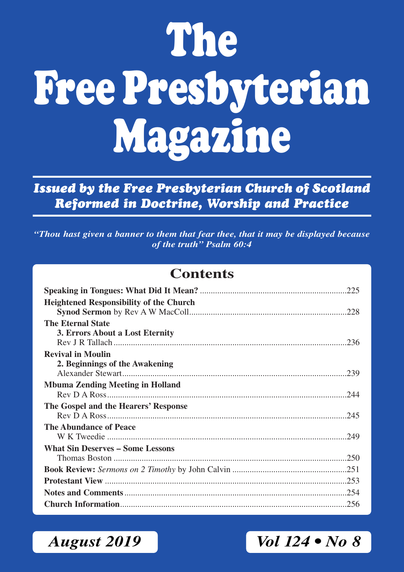# **The Free Presbyterian Magazine**

*Issued by the Free Presbyterian Church of Scotland Reformed in Doctrine, Worship and Practice*

*"Thou hast given a banner to them that fear thee, that it may be displayed because of the truth" Psalm 60:4*

### **Contents**

| <b>Heightened Responsibility of the Church</b> |
|------------------------------------------------|
|                                                |
| <b>The Eternal State</b>                       |
| 3. Errors About a Lost Eternity                |
|                                                |
| <b>Revival in Moulin</b>                       |
| 2. Beginnings of the Awakening                 |
|                                                |
| <b>Mbuma Zending Meeting in Holland</b>        |
|                                                |
| The Gospel and the Hearers' Response           |
|                                                |
| The Abundance of Peace                         |
|                                                |
| <b>What Sin Deserves – Some Lessons</b>        |
|                                                |
|                                                |
|                                                |
|                                                |
|                                                |

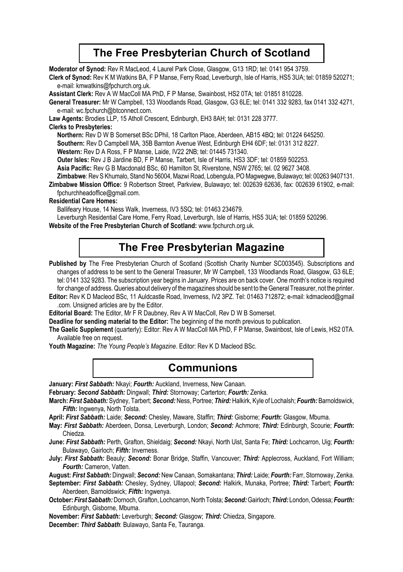### **The Free Presbyterian Church of Scotland**

**Moderator of Synod:** Rev R MacLeod, 4 Laurel Park Close, Glasgow, G13 1RD; tel: 0141 954 3759.

**Clerk of Synod:** Rev K M Watkins BA, F P Manse, Ferry Road, Leverburgh, Isle of Harris, HS5 3UA; tel: 01859 520271; e-mail: kmwatkins@fpchurch.org.uk.

**Assistant Clerk:** Rev A W MacColl MA PhD, F P Manse, Swainbost, HS2 0TA; tel: 01851 810228.

**General Treasurer:** Mr W Campbell, 133 Woodlands Road, Glasgow, G3 6LE; tel: 0141 332 9283, fax 0141 332 4271, e-mail: wc.fpchurch@btconnect.com.

**Law Agents:** Brodies LLP, 15 Atholl Crescent, Edinburgh, EH3 8AH; tel: 0131 228 3777.

#### **Clerks to Presbyteries:**

**Northern:** Rev D W B Somerset BSc DPhil, 18 Carlton Place, Aberdeen, AB15 4BQ; tel: 01224 645250.

**Southern:** Rev D Campbell MA, 35B Barnton Avenue West, Edinburgh EH4 6DF; tel: 0131 312 8227.

**Western:** Rev D A Ross, F P Manse, Laide, IV22 2NB; tel: 01445 731340.

**Outer lsles:** Rev J B Jardine BD, F P Manse, Tarbert, Isle of Harris, HS3 3DF; tel: 01859 502253.

**Asia Pacific:** Rev G B Macdonald BSc, 60 Hamilton St, Riverstone, NSW 2765; tel. 02 9627 3408.

**Zimbabwe**: Rev S Khumalo, Stand No 56004, Mazwi Road, Lobengula, PO Magwegwe, Bulawayo; tel: 00263 9407131.

**Zimbabwe Mission Office:** 9 Robertson Street, Parkview, Bulawayo; tel: 002639 62636, fax: 002639 61902, e-mail: fpchurchheadoffice@gmail.com.

#### **Residential Care Homes:**

Ballifeary House, 14 Ness Walk, Inverness, IV3 5SQ; tel: 01463 234679.

Leverburgh Residential Care Home, Ferry Road, Leverburgh, Isle of Harris, HS5 3UA; tel: 01859 520296.

**Website of the Free Presbyterian Church of Scotland:** www.fpchurch.org.uk.

### **The Free Presbyterian Magazine**

Published by The Free Presbyterian Church of Scotland (Scottish Charity Number SC003545). Subscriptions and changes of address to be sent to the General Treasurer, Mr W Campbell, 133 Woodlands Road, Glasgow, G3 6LE; tel: 0141 332 9283. The subscription year begins in January. Prices are on back cover. One month's notice is required for change of address. Queries about delivery of the magazines should be sent to the General Treasurer, not the printer.

**Editor:** Rev K D Macleod BSc, 11 Auldcastle Road, Inverness, IV2 3PZ. Tel: 01463 712872; e-mail: kdmacleod@gmail .com. Unsigned articles are by the Editor.

**Editorial Board:** The Editor, Mr F R Daubney, Rev A W MacColl, Rev D W B Somerset.

**Deadline for sending material to the Editor:** The beginning of the month previous to publication.

**The Gaelic Supplement** (quarterly): Editor: Rev A W MacColl MA PhD, F P Manse, Swainbost, Isle of Lewis, HS2 0TA. Available free on request.

**Youth Magazine:** *The Young People's Magazine*. Editor: Rev K D Macleod BSc.

### **Communions**

**January:** *First Sabbath:* Nkayi; *Fourth:* Auckland, Inverness, New Canaan.

**February:** *Second Sabbath:* Dingwall; *Third:* Stornoway; Carterton; *Fourth:* Zenka.

**March:** *First Sabbath:* Sydney, Tarbert; *Second:* Ness, Portree; *Third:* Halkirk, Kyle of Lochalsh; *Fourth:* Barnoldswick, *Fifth:* Ingwenya, North Tolsta.

**April:** *First Sabbath:* Laide; *Second:* Chesley, Maware, Staffin; *Third:* Gisborne; *Fourth***:** Glasgow, Mbuma.

**May:** *First Sabbath:* Aberdeen, Donsa, Leverburgh, London; *Second:* Achmore; *Third:* Edinburgh, Scourie; *Fourth***:** Chiedza.

**June:** *First Sabbath:* Perth, Grafton, Shieldaig; *Second:* Nkayi, North Uist, Santa Fe; *Third:* Lochcarron, Uig; *Fourth:*  Bulawayo, Gairloch; *Fifth:* Inverness.

**July:** *First Sabbath:* Beauly; *Second:* Bonar Bridge, Staffin, Vancouver; *Third:* Applecross, Auckland, Fort William; *Fourth:* Cameron, Vatten.

**August:** *First Sabbath:* Dingwall; *Second:* New Canaan, Somakantana; *Third:* Laide; *Fourth:* Farr, Stornoway, Zenka.

**September:** *First Sabbath:* Chesley, Sydney, Ullapool; *Second:* Halkirk, Munaka, Portree; *Third:* Tarbert; *Fourth:* Aberdeen, Barnoldswick; *Fifth:* Ingwenya.

**October:** *First Sabbath:* Dornoch, Grafton, Lochcarron, North Tolsta; *Second:* Gairloch; *Third:* London, Odessa; *Fourth:* Edinburgh, Gisborne, Mbuma.

**November:** *First Sabbath:* Leverburgh; *Second:* Glasgow; *Third:* Chiedza, Singapore.

**December:** *Third Sabbath*: Bulawayo, Santa Fe, Tauranga.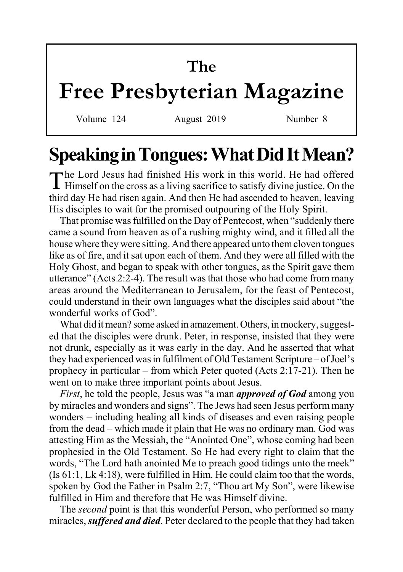# **The**

# **Free Presbyterian Magazine**

Volume 124 August 2019 Number 8

# **Speaking in Tongues: What Did It Mean?**

The Lord Jesus had finished His work in this world. He had offered Himself on the cross as a living sacrifice to satisfy divine justice. On the third day He had risen again. And then He had ascended to heaven, leaving His disciples to wait for the promised outpouring of the Holy Spirit.

That promise was fulfilled on the Day of Pentecost, when "suddenly there came a sound from heaven as of a rushing mighty wind, and it filled all the house where they were sitting. And there appeared unto them cloven tongues like as of fire, and it sat upon each of them. And they were all filled with the Holy Ghost, and began to speak with other tongues, as the Spirit gave them utterance" (Acts 2:2-4). The result was that those who had come from many areas around the Mediterranean to Jerusalem, for the feast of Pentecost, could understand in their own languages what the disciples said about "the wonderful works of God".

What did it mean? some asked in amazement. Others, in mockery, suggested that the disciples were drunk. Peter, in response, insisted that they were not drunk, especially as it was early in the day. And he asserted that what they had experienced was in fulfilment of Old Testament Scripture – of Joel's prophecy in particular – from which Peter quoted (Acts 2:17-21). Then he went on to make three important points about Jesus.

*First*, he told the people, Jesus was "a man *approved of God* among you by miracles and wonders and signs". The Jews had seen Jesus perform many wonders – including healing all kinds of diseases and even raising people from the dead – which made it plain that He was no ordinary man. God was attesting Him as the Messiah, the "Anointed One", whose coming had been prophesied in the Old Testament. So He had every right to claim that the words, "The Lord hath anointed Me to preach good tidings unto the meek" (Is 61:1, Lk 4:18), were fulfilled in Him. He could claim too that the words, spoken by God the Father in Psalm 2:7, "Thou art My Son", were likewise fulfilled in Him and therefore that He was Himself divine.

The *second* point is that this wonderful Person, who performed so many miracles, *suffered and died*. Peter declared to the people that they had taken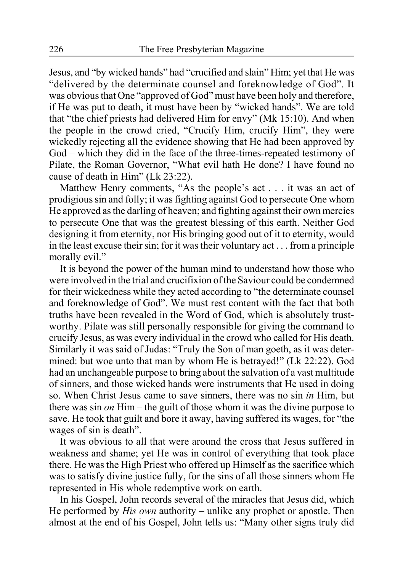Jesus, and "by wicked hands" had "crucified and slain" Him; yet that He was "delivered by the determinate counsel and foreknowledge of God". It was obvious that One "approved of God" must have been holy and therefore, if He was put to death, it must have been by "wicked hands". We are told that "the chief priests had delivered Him for envy" (Mk 15:10). And when the people in the crowd cried, "Crucify Him, crucify Him", they were wickedly rejecting all the evidence showing that He had been approved by God – which they did in the face of the three-times-repeated testimony of Pilate, the Roman Governor, "What evil hath He done? I have found no cause of death in Him" (Lk 23:22).

Matthew Henry comments, "As the people's act . . . it was an act of prodigious sin and folly; it was fighting against God to persecute One whom He approved as the darling of heaven; and fighting against their own mercies to persecute One that was the greatest blessing of this earth. Neither God designing it from eternity, nor His bringing good out of it to eternity, would in the least excuse their sin; for it was their voluntary act . . . from a principle morally evil."

It is beyond the power of the human mind to understand how those who were involved in the trial and crucifixion of the Saviour could be condemned for their wickedness while they acted according to "the determinate counsel and foreknowledge of God". We must rest content with the fact that both truths have been revealed in the Word of God, which is absolutely trustworthy. Pilate was still personally responsible for giving the command to crucify Jesus, as was every individual in the crowd who called for His death. Similarly it was said of Judas: "Truly the Son of man goeth, as it was determined: but woe unto that man by whom He is betrayed!" (Lk 22:22). God had an unchangeable purpose to bring about the salvation of a vast multitude of sinners, and those wicked hands were instruments that He used in doing so. When Christ Jesus came to save sinners, there was no sin *in* Him, but there was sin *on* Him – the guilt of those whom it was the divine purpose to save. He took that guilt and bore it away, having suffered its wages, for "the wages of sin is death".

It was obvious to all that were around the cross that Jesus suffered in weakness and shame; yet He was in control of everything that took place there. He was the High Priest who offered up Himself as the sacrifice which was to satisfy divine justice fully, for the sins of all those sinners whom He represented in His whole redemptive work on earth.

In his Gospel, John records several of the miracles that Jesus did, which He performed by *His own* authority – unlike any prophet or apostle. Then almost at the end of his Gospel, John tells us: "Many other signs truly did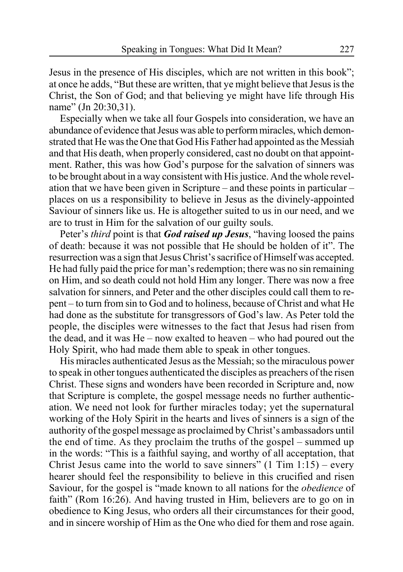Jesus in the presence of His disciples, which are not written in this book"; at once he adds, "But these are written, that ye might believe that Jesus is the Christ, the Son of God; and that believing ye might have life through His name" (Jn 20:30,31).

Especially when we take all four Gospels into consideration, we have an abundance of evidence that Jesus was able to perform miracles, which demonstrated that He was the One that God His Father had appointed as the Messiah and that His death, when properly considered, cast no doubt on that appointment. Rather, this was how God's purpose for the salvation of sinners was to be brought about in a way consistent with His justice. And the whole revelation that we have been given in Scripture – and these points in particular – places on us a responsibility to believe in Jesus as the divinely-appointed Saviour of sinners like us. He is altogether suited to us in our need, and we are to trust in Him for the salvation of our guilty souls.

Peter's *third* point is that *God raised up Jesus*, "having loosed the pains of death: because it was not possible that He should be holden of it". The resurrection was a sign that Jesus Christ's sacrifice of Himself was accepted. He had fully paid the price for man's redemption; there was no sin remaining on Him, and so death could not hold Him any longer. There was now a free salvation for sinners, and Peter and the other disciples could call them to repent – to turn from sin to God and to holiness, because of Christ and what He had done as the substitute for transgressors of God's law. As Peter told the people, the disciples were witnesses to the fact that Jesus had risen from the dead, and it was He – now exalted to heaven – who had poured out the Holy Spirit, who had made them able to speak in other tongues.

His miracles authenticated Jesus as the Messiah; so the miraculous power to speak in other tongues authenticated the disciples as preachers of the risen Christ. These signs and wonders have been recorded in Scripture and, now that Scripture is complete, the gospel message needs no further authentication. We need not look for further miracles today; yet the supernatural working of the Holy Spirit in the hearts and lives of sinners is a sign of the authority of the gospel message as proclaimed by Christ's ambassadors until the end of time. As they proclaim the truths of the gospel – summed up in the words: "This is a faithful saying, and worthy of all acceptation, that Christ Jesus came into the world to save sinners"  $(1 \text{ Tim } 1:15)$  – every hearer should feel the responsibility to believe in this crucified and risen Saviour, for the gospel is "made known to all nations for the *obedience* of faith" (Rom 16:26). And having trusted in Him, believers are to go on in obedience to King Jesus, who orders all their circumstances for their good, and in sincere worship of Him as the One who died for them and rose again.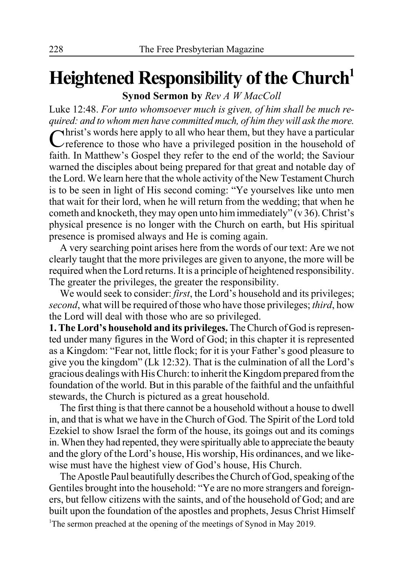# **Heightened Responsibility of the Church1**

**Synod Sermon by** *Rev A W MacColl*

Luke 12:48. *For unto whomsoever much is given, of him shall be much required: and to whom men have committed much, of him they will ask the more.*

 $\forall$ hrist's words here apply to all who hear them, but they have a particular reference to those who have a privileged position in the household of faith. In Matthew's Gospel they refer to the end of the world; the Saviour warned the disciples about being prepared for that great and notable day of the Lord. We learn here that the whole activity of the New Testament Church is to be seen in light of His second coming: "Ye yourselves like unto men that wait for their lord, when he will return from the wedding; that when he cometh and knocketh, they may open unto him immediately" (v 36). Christ's physical presence is no longer with the Church on earth, but His spiritual presence is promised always and He is coming again.

A very searching point arises here from the words of our text: Are we not clearly taught that the more privileges are given to anyone, the more will be required when the Lord returns. It is a principle of heightened responsibility. The greater the privileges, the greater the responsibility.

We would seek to consider: *first*, the Lord's household and its privileges; *second*, what will be required of those who have those privileges; *third*, how the Lord will deal with those who are so privileged.

**1. The Lord's household and its privileges.** The Church of God is represented under many figures in the Word of God; in this chapter it is represented as a Kingdom: "Fear not, little flock; for it is your Father's good pleasure to give you the kingdom" (Lk 12:32). That is the culmination of all the Lord's gracious dealings with His Church: to inherit the Kingdom prepared from the foundation of the world. But in this parable of the faithful and the unfaithful stewards, the Church is pictured as a great household.

The first thing is that there cannot be a household without a house to dwell in, and that is what we have in the Church of God. The Spirit of the Lord told Ezekiel to show Israel the form of the house, its goings out and its comings in. When they had repented, they were spiritually able to appreciate the beauty and the glory of the Lord's house, His worship, His ordinances, and we likewise must have the highest view of God's house, His Church.

The Apostle Paul beautifully describes the Church of God, speaking of the Gentiles brought into the household: "Ye are no more strangers and foreigners, but fellow citizens with the saints, and of the household of God; and are built upon the foundation of the apostles and prophets, Jesus Christ Himself <sup>1</sup>The sermon preached at the opening of the meetings of Synod in May 2019.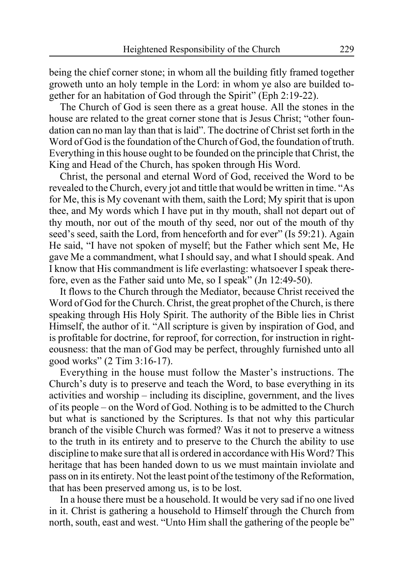being the chief corner stone; in whom all the building fitly framed together groweth unto an holy temple in the Lord: in whom ye also are builded together for an habitation of God through the Spirit" (Eph 2:19-22).

The Church of God is seen there as a great house. All the stones in the house are related to the great corner stone that is Jesus Christ; "other foundation can no man lay than that is laid". The doctrine of Christ set forth in the Word of God is the foundation of the Church of God, the foundation of truth. Everything in this house ought to be founded on the principle that Christ, the King and Head of the Church, has spoken through His Word.

Christ, the personal and eternal Word of God, received the Word to be revealed to the Church, every jot and tittle that would be written in time. "As for Me, this is My covenant with them, saith the Lord; My spirit that is upon thee, and My words which I have put in thy mouth, shall not depart out of thy mouth, nor out of the mouth of thy seed, nor out of the mouth of thy seed's seed, saith the Lord, from henceforth and for ever" (Is 59:21). Again He said, "I have not spoken of myself; but the Father which sent Me, He gave Me a commandment, what I should say, and what I should speak. And I know that His commandment is life everlasting: whatsoever I speak therefore, even as the Father said unto Me, so I speak" (Jn 12:49-50).

It flows to the Church through the Mediator, because Christ received the Word of God for the Church. Christ, the great prophet of the Church, is there speaking through His Holy Spirit. The authority of the Bible lies in Christ Himself, the author of it. "All scripture is given by inspiration of God, and is profitable for doctrine, for reproof, for correction, for instruction in righteousness: that the man of God may be perfect, throughly furnished unto all good works" (2 Tim 3:16-17).

Everything in the house must follow the Master's instructions. The Church's duty is to preserve and teach the Word, to base everything in its activities and worship – including its discipline, government, and the lives of its people – on the Word of God. Nothing is to be admitted to the Church but what is sanctioned by the Scriptures. Is that not why this particular branch of the visible Church was formed? Was it not to preserve a witness to the truth in its entirety and to preserve to the Church the ability to use discipline to make sure that all is ordered in accordance with His Word? This heritage that has been handed down to us we must maintain inviolate and pass on in its entirety. Not the least point of the testimony of the Reformation, that has been preserved among us, is to be lost.

In a house there must be a household. It would be very sad if no one lived in it. Christ is gathering a household to Himself through the Church from north, south, east and west. "Unto Him shall the gathering of the people be"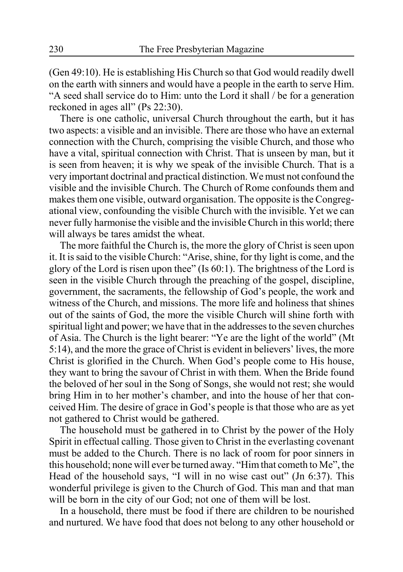(Gen 49:10). He is establishing His Church so that God would readily dwell on the earth with sinners and would have a people in the earth to serve Him. "A seed shall service do to Him: unto the Lord it shall / be for a generation reckoned in ages all" (Ps 22:30).

There is one catholic, universal Church throughout the earth, but it has two aspects: a visible and an invisible. There are those who have an external connection with the Church, comprising the visible Church, and those who have a vital, spiritual connection with Christ. That is unseen by man, but it is seen from heaven; it is why we speak of the invisible Church. That is a very important doctrinal and practical distinction. We must not confound the visible and the invisible Church. The Church of Rome confounds them and makes them one visible, outward organisation. The opposite is the Congregational view, confounding the visible Church with the invisible. Yet we can never fully harmonise the visible and the invisible Church in this world; there will always be tares amidst the wheat.

The more faithful the Church is, the more the glory of Christ is seen upon it. It is said to the visible Church: "Arise, shine, for thy light is come, and the glory of the Lord is risen upon thee" (Is 60:1). The brightness of the Lord is seen in the visible Church through the preaching of the gospel, discipline, government, the sacraments, the fellowship of God's people, the work and witness of the Church, and missions. The more life and holiness that shines out of the saints of God, the more the visible Church will shine forth with spiritual light and power; we have that in the addresses to the seven churches of Asia. The Church is the light bearer: "Ye are the light of the world" (Mt 5:14), and the more the grace of Christ is evident in believers' lives, the more Christ is glorified in the Church. When God's people come to His house, they want to bring the savour of Christ in with them. When the Bride found the beloved of her soul in the Song of Songs, she would not rest; she would bring Him in to her mother's chamber, and into the house of her that conceived Him. The desire of grace in God's people is that those who are as yet not gathered to Christ would be gathered.

The household must be gathered in to Christ by the power of the Holy Spirit in effectual calling. Those given to Christ in the everlasting covenant must be added to the Church. There is no lack of room for poor sinners in this household; none will ever be turned away. "Him that cometh to Me", the Head of the household says, "I will in no wise cast out" (Jn 6:37). This wonderful privilege is given to the Church of God. This man and that man will be born in the city of our God; not one of them will be lost.

In a household, there must be food if there are children to be nourished and nurtured. We have food that does not belong to any other household or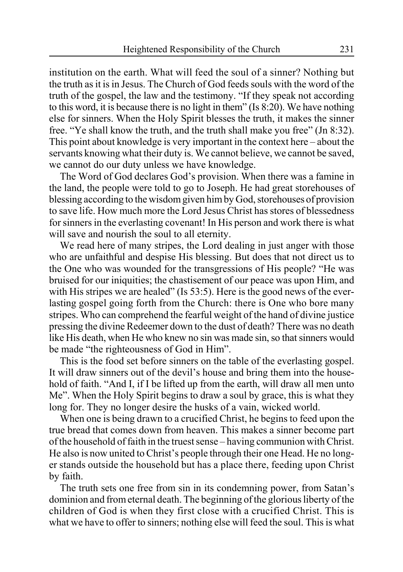institution on the earth. What will feed the soul of a sinner? Nothing but the truth as it is in Jesus. The Church of God feeds souls with the word of the truth of the gospel, the law and the testimony. "If they speak not according to this word, it is because there is no light in them" (Is 8:20). We have nothing else for sinners. When the Holy Spirit blesses the truth, it makes the sinner free. "Ye shall know the truth, and the truth shall make you free" (Jn 8:32). This point about knowledge is very important in the context here – about the servants knowing what their duty is. We cannot believe, we cannot be saved, we cannot do our duty unless we have knowledge.

The Word of God declares God's provision. When there was a famine in the land, the people were told to go to Joseph. He had great storehouses of blessing according to the wisdom given him by God, storehouses of provision to save life. How much more the Lord Jesus Christ has stores of blessedness for sinners in the everlasting covenant! In His person and work there is what will save and nourish the soul to all eternity.

We read here of many stripes, the Lord dealing in just anger with those who are unfaithful and despise His blessing. But does that not direct us to the One who was wounded for the transgressions of His people? "He was bruised for our iniquities; the chastisement of our peace was upon Him, and with His stripes we are healed" (Is 53:5). Here is the good news of the everlasting gospel going forth from the Church: there is One who bore many stripes. Who can comprehend the fearful weight of the hand of divine justice pressing the divine Redeemer down to the dust of death? There was no death like His death, when He who knew no sin was made sin, so that sinners would be made "the righteousness of God in Him".

This is the food set before sinners on the table of the everlasting gospel. It will draw sinners out of the devil's house and bring them into the household of faith. "And I, if I be lifted up from the earth, will draw all men unto Me". When the Holy Spirit begins to draw a soul by grace, this is what they long for. They no longer desire the husks of a vain, wicked world.

When one is being drawn to a crucified Christ, he begins to feed upon the true bread that comes down from heaven. This makes a sinner become part of the household of faith in the truest sense – having communion with Christ. He also is now united to Christ's people through their one Head. He no longer stands outside the household but has a place there, feeding upon Christ by faith.

The truth sets one free from sin in its condemning power, from Satan's dominion and from eternal death. The beginning of the glorious liberty of the children of God is when they first close with a crucified Christ. This is what we have to offer to sinners; nothing else will feed the soul. This is what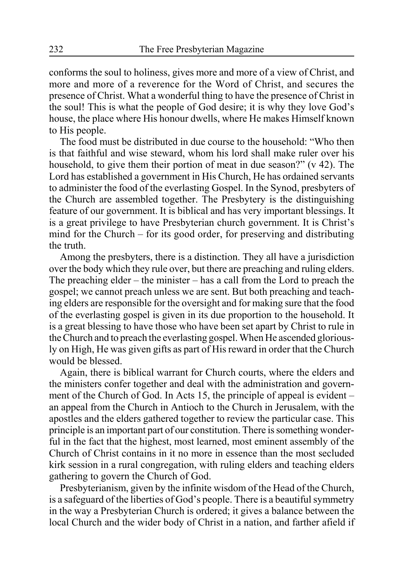conforms the soul to holiness, gives more and more of a view of Christ, and more and more of a reverence for the Word of Christ, and secures the presence of Christ. What a wonderful thing to have the presence of Christ in the soul! This is what the people of God desire; it is why they love God's house, the place where His honour dwells, where He makes Himself known to His people.

The food must be distributed in due course to the household: "Who then is that faithful and wise steward, whom his lord shall make ruler over his household, to give them their portion of meat in due season?" (v 42). The Lord has established a government in His Church, He has ordained servants to administer the food of the everlasting Gospel. In the Synod, presbyters of the Church are assembled together. The Presbytery is the distinguishing feature of our government. It is biblical and has very important blessings. It is a great privilege to have Presbyterian church government. It is Christ's mind for the Church – for its good order, for preserving and distributing the truth.

Among the presbyters, there is a distinction. They all have a jurisdiction over the body which they rule over, but there are preaching and ruling elders. The preaching elder – the minister – has a call from the Lord to preach the gospel; we cannot preach unless we are sent. But both preaching and teaching elders are responsible for the oversight and for making sure that the food of the everlasting gospel is given in its due proportion to the household. It is a great blessing to have those who have been set apart by Christ to rule in the Church and to preach the everlasting gospel. When He ascended gloriously on High, He was given gifts as part of His reward in order that the Church would be blessed.

Again, there is biblical warrant for Church courts, where the elders and the ministers confer together and deal with the administration and government of the Church of God. In Acts 15, the principle of appeal is evident – an appeal from the Church in Antioch to the Church in Jerusalem, with the apostles and the elders gathered together to review the particular case. This principle is an important part of our constitution. There is something wonderful in the fact that the highest, most learned, most eminent assembly of the Church of Christ contains in it no more in essence than the most secluded kirk session in a rural congregation, with ruling elders and teaching elders gathering to govern the Church of God.

Presbyterianism, given by the infinite wisdom of the Head of the Church, is a safeguard of the liberties of God's people. There is a beautiful symmetry in the way a Presbyterian Church is ordered; it gives a balance between the local Church and the wider body of Christ in a nation, and farther afield if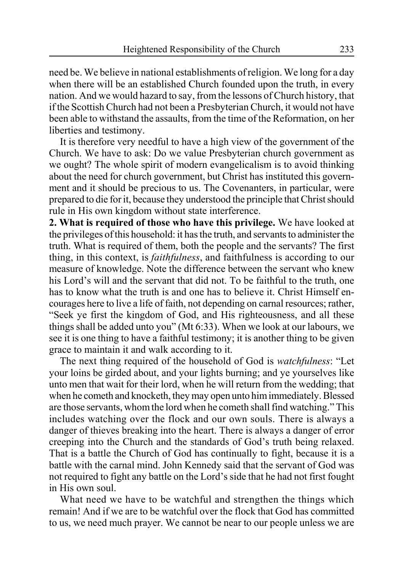need be. We believe in national establishments of religion. We long for a day when there will be an established Church founded upon the truth, in every nation. And we would hazard to say, from the lessons of Church history, that if the Scottish Church had not been a Presbyterian Church, it would not have been able to withstand the assaults, from the time of the Reformation, on her liberties and testimony.

It is therefore very needful to have a high view of the government of the Church. We have to ask: Do we value Presbyterian church government as we ought? The whole spirit of modern evangelicalism is to avoid thinking about the need for church government, but Christ has instituted this government and it should be precious to us. The Covenanters, in particular, were prepared to die for it, because they understood the principle that Christ should rule in His own kingdom without state interference.

**2. What is required of those who have this privilege.** We have looked at the privileges of this household: it has the truth, and servants to administer the truth. What is required of them, both the people and the servants? The first thing, in this context, is *faithfulness*, and faithfulness is according to our measure of knowledge. Note the difference between the servant who knew his Lord's will and the servant that did not. To be faithful to the truth, one has to know what the truth is and one has to believe it. Christ Himself encourages here to live a life of faith, not depending on carnal resources; rather, "Seek ye first the kingdom of God, and His righteousness, and all these things shall be added unto you" (Mt 6:33). When we look at our labours, we see it is one thing to have a faithful testimony; it is another thing to be given grace to maintain it and walk according to it.

The next thing required of the household of God is *watchfulness*: "Let your loins be girded about, and your lights burning; and ye yourselves like unto men that wait for their lord, when he will return from the wedding; that when he cometh and knocketh, they may open unto him immediately. Blessed are those servants, whom the lord when he cometh shall find watching." This includes watching over the flock and our own souls. There is always a danger of thieves breaking into the heart. There is always a danger of error creeping into the Church and the standards of God's truth being relaxed. That is a battle the Church of God has continually to fight, because it is a battle with the carnal mind. John Kennedy said that the servant of God was not required to fight any battle on the Lord's side that he had not first fought in His own soul.

What need we have to be watchful and strengthen the things which remain! And if we are to be watchful over the flock that God has committed to us, we need much prayer. We cannot be near to our people unless we are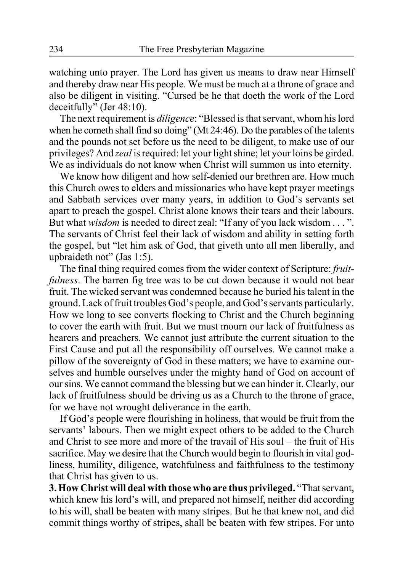watching unto prayer. The Lord has given us means to draw near Himself and thereby draw near His people. We must be much at a throne of grace and also be diligent in visiting. "Cursed be he that doeth the work of the Lord deceitfully" (Jer 48:10).

The next requirement is *diligence*: "Blessed is that servant, whom his lord when he cometh shall find so doing" (Mt 24:46). Do the parables of the talents and the pounds not set before us the need to be diligent, to make use of our privileges? And *zeal* is required: let your light shine; let your loins be girded. We as individuals do not know when Christ will summon us into eternity.

We know how diligent and how self-denied our brethren are. How much this Church owes to elders and missionaries who have kept prayer meetings and Sabbath services over many years, in addition to God's servants set apart to preach the gospel. Christ alone knows their tears and their labours. But what *wisdom* is needed to direct zeal: "If any of you lack wisdom . . . ". The servants of Christ feel their lack of wisdom and ability in setting forth the gospel, but "let him ask of God, that giveth unto all men liberally, and upbraideth not" (Jas 1:5).

The final thing required comes from the wider context of Scripture: *fruitfulness*. The barren fig tree was to be cut down because it would not bear fruit. The wicked servant was condemned because he buried his talent in the ground. Lack of fruit troubles God's people, and God's servants particularly. How we long to see converts flocking to Christ and the Church beginning to cover the earth with fruit. But we must mourn our lack of fruitfulness as hearers and preachers. We cannot just attribute the current situation to the First Cause and put all the responsibility off ourselves. We cannot make a pillow of the sovereignty of God in these matters; we have to examine ourselves and humble ourselves under the mighty hand of God on account of our sins. We cannot command the blessing but we can hinder it. Clearly, our lack of fruitfulness should be driving us as a Church to the throne of grace, for we have not wrought deliverance in the earth.

If God's people were flourishing in holiness, that would be fruit from the servants' labours. Then we might expect others to be added to the Church and Christ to see more and more of the travail of His soul – the fruit of His sacrifice. May we desire that the Church would begin to flourish in vital godliness, humility, diligence, watchfulness and faithfulness to the testimony that Christ has given to us.

**3. How Christ will deal with those who are thus privileged.** "That servant, which knew his lord's will, and prepared not himself, neither did according to his will, shall be beaten with many stripes. But he that knew not, and did commit things worthy of stripes, shall be beaten with few stripes. For unto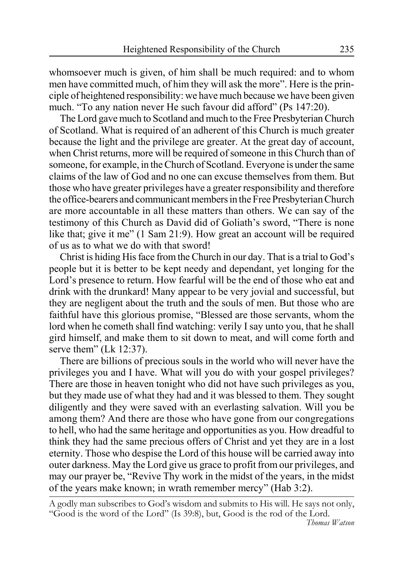whomsoever much is given, of him shall be much required: and to whom men have committed much, of him they will ask the more". Here is the principle of heightened responsibility: we have much because we have been given much. "To any nation never He such favour did afford" (Ps 147:20).

The Lord gave much to Scotland and much to the Free Presbyterian Church of Scotland. What is required of an adherent of this Church is much greater because the light and the privilege are greater. At the great day of account, when Christ returns, more will be required of someone in this Church than of someone, for example, in the Church of Scotland. Everyone is under the same claims of the law of God and no one can excuse themselves from them. But those who have greater privileges have a greater responsibility and therefore the office-bearers and communicant members in the Free Presbyterian Church are more accountable in all these matters than others. We can say of the testimony of this Church as David did of Goliath's sword, "There is none like that; give it me" (1 Sam 21:9). How great an account will be required of us as to what we do with that sword!

Christ is hiding His face from the Church in our day. That is a trial to God's people but it is better to be kept needy and dependant, yet longing for the Lord's presence to return. How fearful will be the end of those who eat and drink with the drunkard! Many appear to be very jovial and successful, but they are negligent about the truth and the souls of men. But those who are faithful have this glorious promise, "Blessed are those servants, whom the lord when he cometh shall find watching: verily I say unto you, that he shall gird himself, and make them to sit down to meat, and will come forth and serve them" (Lk 12:37).

There are billions of precious souls in the world who will never have the privileges you and I have. What will you do with your gospel privileges? There are those in heaven tonight who did not have such privileges as you, but they made use of what they had and it was blessed to them. They sought diligently and they were saved with an everlasting salvation. Will you be among them? And there are those who have gone from our congregations to hell, who had the same heritage and opportunities as you. How dreadful to think they had the same precious offers of Christ and yet they are in a lost eternity. Those who despise the Lord of this house will be carried away into outer darkness. May the Lord give us grace to profit from our privileges, and may our prayer be, "Revive Thy work in the midst of the years, in the midst of the years make known; in wrath remember mercy" (Hab 3:2).

A godly man subscribes to God's wisdom and submits to His will. He says not only, "Good is the word of the Lord" (Is 39:8), but, Good is the rod of the Lord.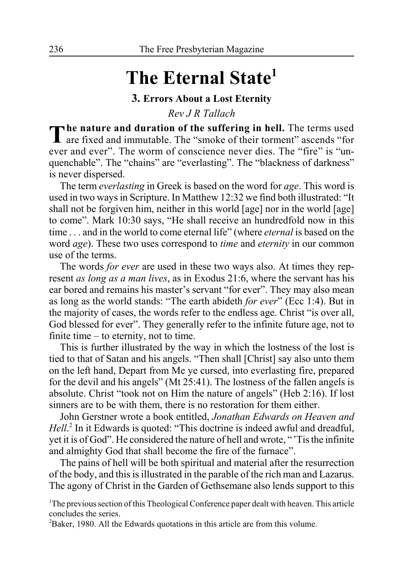# **The Eternal State1**

### **3. Errors About a Lost Eternity**

*Rev J R Tallach*

The nature and duration of the suffering in hell. The terms used<br>are fixed and immutable. The "smoke of their torment" ascends "for ever and ever". The worm of conscience never dies. The "fire" is "unquenchable". The "chains" are "everlasting". The "blackness of darkness" is never dispersed.

The term *everlasting* in Greek is based on the word for *age*. This word is used in two ways in Scripture. In Matthew 12:32 we find both illustrated: "It shall not be forgiven him, neither in this world [age] nor in the world [age] to come". Mark 10:30 says, "He shall receive an hundredfold now in this time . . . and in the world to come eternal life" (where *eternal* is based on the word *age*). These two uses correspond to *time* and *eternity* in our common use of the terms.

The words *for ever* are used in these two ways also. At times they represent *as long as a man lives*, as in Exodus 21:6, where the servant has his ear bored and remains his master's servant "for ever". They may also mean as long as the world stands: "The earth abideth *for ever*" (Ecc 1:4). But in the majority of cases, the words refer to the endless age. Christ "is over all, God blessed for ever". They generally refer to the infinite future age, not to finite time – to eternity, not to time.

This is further illustrated by the way in which the lostness of the lost is tied to that of Satan and his angels. "Then shall [Christ] say also unto them on the left hand, Depart from Me ye cursed, into everlasting fire, prepared for the devil and his angels" (Mt 25:41). The lostness of the fallen angels is absolute. Christ "took not on Him the nature of angels" (Heb 2:16). If lost sinners are to be with them, there is no restoration for them either.

John Gerstner wrote a book entitled, *Jonathan Edwards on Heaven and* Hell.<sup>2</sup> In it Edwards is quoted: "This doctrine is indeed awful and dreadful, yet it is of God". He considered the nature of hell and wrote, "'Tis the infinite and almighty God that shall become the fire of the furnace".

The pains of hell will be both spiritual and material after the resurrection of the body, and this is illustrated in the parable of the rich man and Lazarus. The agony of Christ in the Garden of Gethsemane also lends support to this

<sup>1</sup>The previous section of this Theological Conference paper dealt with heaven. This article concludes the series.

<sup>2</sup>Baker, 1980. All the Edwards quotations in this article are from this volume.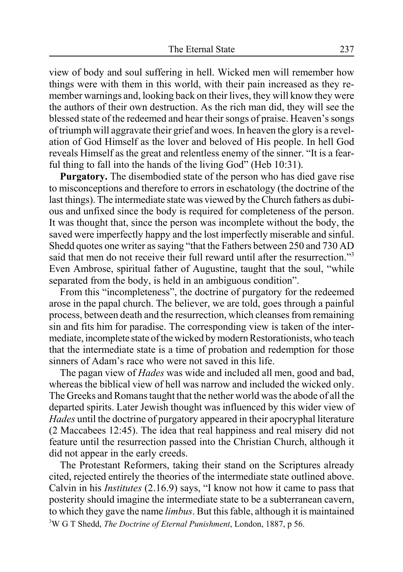view of body and soul suffering in hell. Wicked men will remember how things were with them in this world, with their pain increased as they remember warnings and, looking back on their lives, they will know they were the authors of their own destruction. As the rich man did, they will see the blessed state of the redeemed and hear their songs of praise. Heaven's songs of triumph will aggravate their grief and woes. In heaven the glory is a revelation of God Himself as the lover and beloved of His people. In hell God reveals Himself as the great and relentless enemy of the sinner. "It is a fearful thing to fall into the hands of the living God" (Heb 10:31).

**Purgatory.** The disembodied state of the person who has died gave rise to misconceptions and therefore to errors in eschatology (the doctrine of the last things). The intermediate state was viewed by the Church fathers as dubious and unfixed since the body is required for completeness of the person. It was thought that, since the person was incomplete without the body, the saved were imperfectly happy and the lost imperfectly miserable and sinful. Shedd quotes one writer as saying "that the Fathers between 250 and 730 AD said that men do not receive their full reward until after the resurrection."<sup>3</sup> Even Ambrose, spiritual father of Augustine, taught that the soul, "while separated from the body, is held in an ambiguous condition".

From this "incompleteness", the doctrine of purgatory for the redeemed arose in the papal church. The believer, we are told, goes through a painful process, between death and the resurrection, which cleanses from remaining sin and fits him for paradise. The corresponding view is taken of the intermediate, incomplete state of the wicked by modern Restorationists, who teach that the intermediate state is a time of probation and redemption for those sinners of Adam's race who were not saved in this life.

The pagan view of *Hades* was wide and included all men, good and bad, whereas the biblical view of hell was narrow and included the wicked only. The Greeks and Romans taught that the nether world was the abode of all the departed spirits. Later Jewish thought was influenced by this wider view of *Hades* until the doctrine of purgatory appeared in their apocryphal literature (2 Maccabees 12:45). The idea that real happiness and real misery did not feature until the resurrection passed into the Christian Church, although it did not appear in the early creeds.

The Protestant Reformers, taking their stand on the Scriptures already cited, rejected entirely the theories of the intermediate state outlined above. Calvin in his *Institutes* (2.16.9) says, "I know not how it came to pass that posterity should imagine the intermediate state to be a subterranean cavern, to which they gave the name *limbus*. But this fable, although it is maintained 3 W G T Shedd, *The Doctrine of Eternal Punishment*, London, 1887, p 56.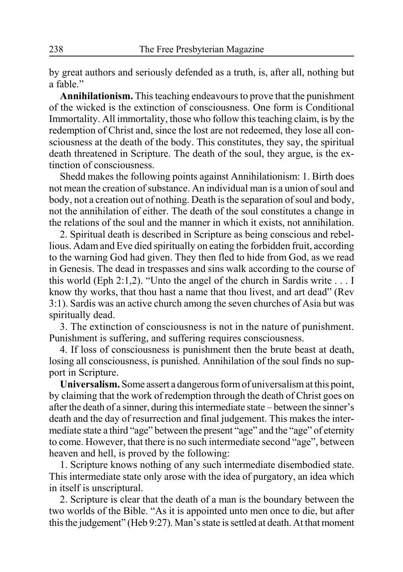by great authors and seriously defended as a truth, is, after all, nothing but a fable."

**Annihilationism.** This teaching endeavours to prove that the punishment of the wicked is the extinction of consciousness. One form is Conditional Immortality. All immortality, those who follow this teaching claim, is by the redemption of Christ and, since the lost are not redeemed, they lose all consciousness at the death of the body. This constitutes, they say, the spiritual death threatened in Scripture. The death of the soul, they argue, is the extinction of consciousness.

Shedd makes the following points against Annihilationism: 1. Birth does not mean the creation of substance. An individual man is a union of soul and body, not a creation out of nothing. Death is the separation of soul and body, not the annihilation of either. The death of the soul constitutes a change in the relations of the soul and the manner in which it exists, not annihilation.

2. Spiritual death is described in Scripture as being conscious and rebellious. Adam and Eve died spiritually on eating the forbidden fruit, according to the warning God had given. They then fled to hide from God, as we read in Genesis. The dead in trespasses and sins walk according to the course of this world (Eph 2:1,2). "Unto the angel of the church in Sardis write . . . I know thy works, that thou hast a name that thou livest, and art dead" (Rev 3:1). Sardis was an active church among the seven churches of Asia but was spiritually dead.

3. The extinction of consciousness is not in the nature of punishment. Punishment is suffering, and suffering requires consciousness.

4. If loss of consciousness is punishment then the brute beast at death, losing all consciousness, is punished. Annihilation of the soul finds no support in Scripture.

**Universalism.** Some assert a dangerous form of universalism at this point, by claiming that the work of redemption through the death of Christ goes on after the death of a sinner, during this intermediate state – between the sinner's death and the day of resurrection and final judgement. This makes the intermediate state a third "age" between the present "age" and the "age" of eternity to come. However, that there is no such intermediate second "age", between heaven and hell, is proved by the following:

1. Scripture knows nothing of any such intermediate disembodied state. This intermediate state only arose with the idea of purgatory, an idea which in itself is unscriptural.

2. Scripture is clear that the death of a man is the boundary between the two worlds of the Bible. "As it is appointed unto men once to die, but after this the judgement" (Heb 9:27). Man's state is settled at death. At that moment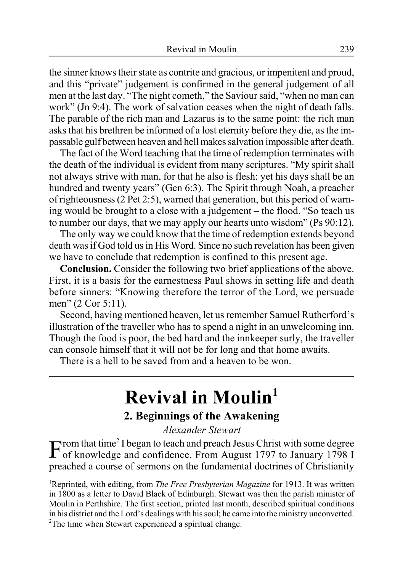the sinner knows their state as contrite and gracious, or impenitent and proud, and this "private" judgement is confirmed in the general judgement of all men at the last day. "The night cometh," the Saviour said, "when no man can work" (Jn 9:4). The work of salvation ceases when the night of death falls. The parable of the rich man and Lazarus is to the same point: the rich man asks that his brethren be informed of a lost eternity before they die, as the impassable gulf between heaven and hell makes salvation impossible after death.

The fact of the Word teaching that the time of redemption terminates with the death of the individual is evident from many scriptures. "My spirit shall not always strive with man, for that he also is flesh: yet his days shall be an hundred and twenty years" (Gen 6:3). The Spirit through Noah, a preacher of righteousness (2 Pet 2:5), warned that generation, but this period of warning would be brought to a close with a judgement – the flood. "So teach us to number our days, that we may apply our hearts unto wisdom" (Ps 90:12).

The only way we could know that the time of redemption extends beyond death was if God told us in His Word. Since no such revelation has been given we have to conclude that redemption is confined to this present age.

**Conclusion.** Consider the following two brief applications of the above. First, it is a basis for the earnestness Paul shows in setting life and death before sinners: "Knowing therefore the terror of the Lord, we persuade men" (2 Cor 5:11).

Second, having mentioned heaven, let us remember Samuel Rutherford's illustration of the traveller who has to spend a night in an unwelcoming inn. Though the food is poor, the bed hard and the innkeeper surly, the traveller can console himself that it will not be for long and that home awaits.

There is a hell to be saved from and a heaven to be won.

# **Revival in Moulin1**

### **2. Beginnings of the Awakening**

*Alexander Stewart*

From that time<sup>2</sup> I began to teach and preach Jesus Christ with some degree of knowledge and confidence. From August 1797 to January 1798 I of knowledge and confidence. From August 1797 to January 1798 I preached a course of sermons on the fundamental doctrines of Christianity

1 Reprinted, with editing, from *The Free Presbyterian Magazine* for 1913. It was written in 1800 as a letter to David Black of Edinburgh. Stewart was then the parish minister of Moulin in Perthshire. The first section, printed last month, described spiritual conditions in his district and the Lord's dealings with his soul; he came into the ministry unconverted. <sup>2</sup>The time when Stewart experienced a spiritual change.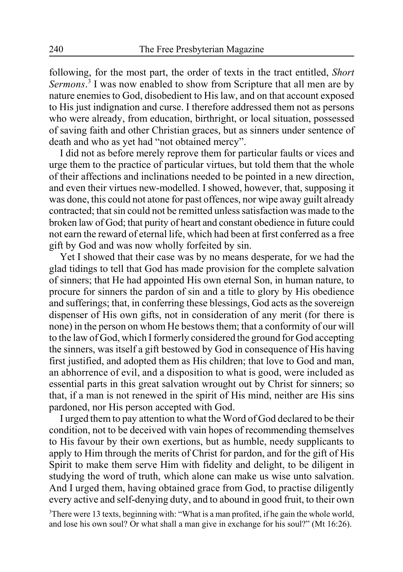following, for the most part, the order of texts in the tract entitled, *Short Sermons*. 3 I was now enabled to show from Scripture that all men are by nature enemies to God, disobedient to His law, and on that account exposed to His just indignation and curse. I therefore addressed them not as persons who were already, from education, birthright, or local situation, possessed of saving faith and other Christian graces, but as sinners under sentence of death and who as yet had "not obtained mercy".

I did not as before merely reprove them for particular faults or vices and urge them to the practice of particular virtues, but told them that the whole of their affections and inclinations needed to be pointed in a new direction, and even their virtues new-modelled. I showed, however, that, supposing it was done, this could not atone for past offences, nor wipe away guilt already contracted; that sin could not be remitted unless satisfaction was made to the broken law of God; that purity of heart and constant obedience in future could not earn the reward of eternal life, which had been at first conferred as a free gift by God and was now wholly forfeited by sin.

Yet I showed that their case was by no means desperate, for we had the glad tidings to tell that God has made provision for the complete salvation of sinners; that He had appointed His own eternal Son, in human nature, to procure for sinners the pardon of sin and a title to glory by His obedience and sufferings; that, in conferring these blessings, God acts as the sovereign dispenser of His own gifts, not in consideration of any merit (for there is none) in the person on whom He bestows them; that a conformity of our will to the law of God, which I formerly considered the ground for God accepting the sinners, was itself a gift bestowed by God in consequence of His having first justified, and adopted them as His children; that love to God and man, an abhorrence of evil, and a disposition to what is good, were included as essential parts in this great salvation wrought out by Christ for sinners; so that, if a man is not renewed in the spirit of His mind, neither are His sins pardoned, nor His person accepted with God.

I urged them to pay attention to what the Word of God declared to be their condition, not to be deceived with vain hopes of recommending themselves to His favour by their own exertions, but as humble, needy supplicants to apply to Him through the merits of Christ for pardon, and for the gift of His Spirit to make them serve Him with fidelity and delight, to be diligent in studying the word of truth, which alone can make us wise unto salvation. And I urged them, having obtained grace from God, to practise diligently every active and self-denying duty, and to abound in good fruit, to their own

<sup>3</sup>There were 13 texts, beginning with: "What is a man profited, if he gain the whole world, and lose his own soul? Or what shall a man give in exchange for his soul?" (Mt 16:26).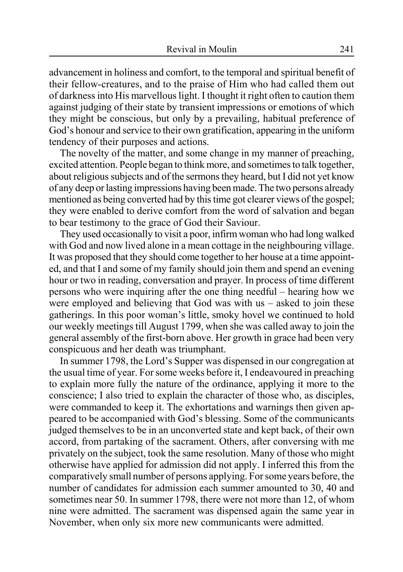advancement in holiness and comfort, to the temporal and spiritual benefit of their fellow-creatures, and to the praise of Him who had called them out of darkness into His marvellous light. I thought it right often to caution them against judging of their state by transient impressions or emotions of which they might be conscious, but only by a prevailing, habitual preference of God's honour and service to their own gratification, appearing in the uniform tendency of their purposes and actions.

The novelty of the matter, and some change in my manner of preaching, excited attention. People began to think more, and sometimes to talk together, about religious subjects and of the sermons they heard, but I did not yet know of any deep or lasting impressions having been made. The two persons already mentioned as being converted had by this time got clearer views of the gospel; they were enabled to derive comfort from the word of salvation and began to bear testimony to the grace of God their Saviour.

They used occasionally to visit a poor, infirm woman who had long walked with God and now lived alone in a mean cottage in the neighbouring village. It was proposed that they should come together to her house at a time appointed, and that I and some of my family should join them and spend an evening hour or two in reading, conversation and prayer. In process of time different persons who were inquiring after the one thing needful – hearing how we were employed and believing that God was with us – asked to join these gatherings. In this poor woman's little, smoky hovel we continued to hold our weekly meetings till August 1799, when she was called away to join the general assembly of the first-born above. Her growth in grace had been very conspicuous and her death was triumphant.

In summer 1798, the Lord's Supper was dispensed in our congregation at the usual time of year. For some weeks before it, I endeavoured in preaching to explain more fully the nature of the ordinance, applying it more to the conscience; I also tried to explain the character of those who, as disciples, were commanded to keep it. The exhortations and warnings then given appeared to be accompanied with God's blessing. Some of the communicants judged themselves to be in an unconverted state and kept back, of their own accord, from partaking of the sacrament. Others, after conversing with me privately on the subject, took the same resolution. Many of those who might otherwise have applied for admission did not apply. I inferred this from the comparatively small number of persons applying. For some years before, the number of candidates for admission each summer amounted to 30, 40 and sometimes near 50. In summer 1798, there were not more than 12, of whom nine were admitted. The sacrament was dispensed again the same year in November, when only six more new communicants were admitted.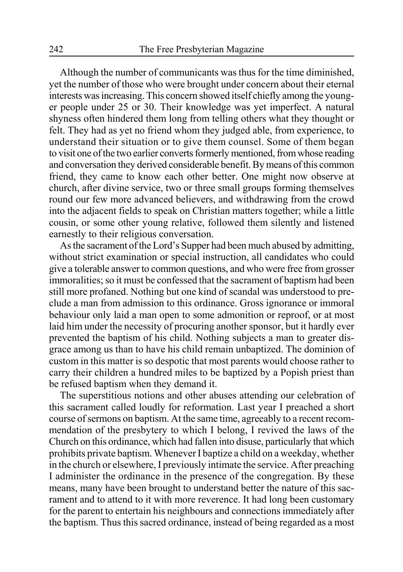Although the number of communicants was thus for the time diminished, yet the number of those who were brought under concern about their eternal interests was increasing. This concern showed itself chiefly among the younger people under 25 or 30. Their knowledge was yet imperfect. A natural shyness often hindered them long from telling others what they thought or felt. They had as yet no friend whom they judged able, from experience, to understand their situation or to give them counsel. Some of them began to visit one of the two earlier converts formerly mentioned, from whose reading and conversation they derived considerable benefit. By means of this common friend, they came to know each other better. One might now observe at church, after divine service, two or three small groups forming themselves round our few more advanced believers, and withdrawing from the crowd into the adjacent fields to speak on Christian matters together; while a little cousin, or some other young relative, followed them silently and listened earnestly to their religious conversation.

As the sacrament of the Lord's Supper had been much abused by admitting, without strict examination or special instruction, all candidates who could give a tolerable answer to common questions, and who were free from grosser immoralities; so it must be confessed that the sacrament of baptism had been still more profaned. Nothing but one kind of scandal was understood to preclude a man from admission to this ordinance. Gross ignorance or immoral behaviour only laid a man open to some admonition or reproof, or at most laid him under the necessity of procuring another sponsor, but it hardly ever prevented the baptism of his child. Nothing subjects a man to greater disgrace among us than to have his child remain unbaptized. The dominion of custom in this matter is so despotic that most parents would choose rather to carry their children a hundred miles to be baptized by a Popish priest than be refused baptism when they demand it.

The superstitious notions and other abuses attending our celebration of this sacrament called loudly for reformation. Last year I preached a short course of sermons on baptism. At the same time, agreeably to a recent recommendation of the presbytery to which I belong, I revived the laws of the Church on this ordinance, which had fallen into disuse, particularly that which prohibits private baptism. Whenever I baptize a child on a weekday, whether in the church or elsewhere, I previously intimate the service. After preaching I administer the ordinance in the presence of the congregation. By these means, many have been brought to understand better the nature of this sacrament and to attend to it with more reverence. It had long been customary for the parent to entertain his neighbours and connections immediately after the baptism. Thus this sacred ordinance, instead of being regarded as a most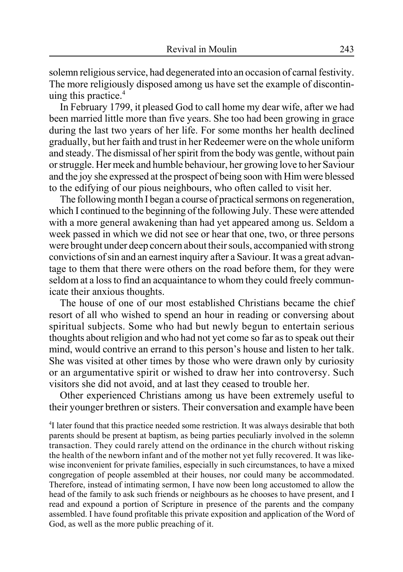solemn religious service, had degenerated into an occasion of carnal festivity. The more religiously disposed among us have set the example of discontinuing this practice. $4$ 

In February 1799, it pleased God to call home my dear wife, after we had been married little more than five years. She too had been growing in grace during the last two years of her life. For some months her health declined gradually, but her faith and trust in her Redeemer were on the whole uniform and steady. The dismissal of her spirit from the body was gentle, without pain or struggle. Her meek and humble behaviour, her growing love to her Saviour and the joy she expressed at the prospect of being soon with Him were blessed to the edifying of our pious neighbours, who often called to visit her.

The following month I began a course of practical sermons on regeneration, which I continued to the beginning of the following July. These were attended with a more general awakening than had yet appeared among us. Seldom a week passed in which we did not see or hear that one, two, or three persons were brought under deep concern about their souls, accompanied with strong convictions of sin and an earnest inquiry after a Saviour. It was a great advantage to them that there were others on the road before them, for they were seldom at a loss to find an acquaintance to whom they could freely communicate their anxious thoughts.

The house of one of our most established Christians became the chief resort of all who wished to spend an hour in reading or conversing about spiritual subjects. Some who had but newly begun to entertain serious thoughts about religion and who had not yet come so far as to speak out their mind, would contrive an errand to this person's house and listen to her talk. She was visited at other times by those who were drawn only by curiosity or an argumentative spirit or wished to draw her into controversy. Such visitors she did not avoid, and at last they ceased to trouble her.

Other experienced Christians among us have been extremely useful to their younger brethren or sisters. Their conversation and example have been

<sup>4</sup>I later found that this practice needed some restriction. It was always desirable that both parents should be present at baptism, as being parties peculiarly involved in the solemn transaction. They could rarely attend on the ordinance in the church without risking the health of the newborn infant and of the mother not yet fully recovered. It was likewise inconvenient for private families, especially in such circumstances, to have a mixed congregation of people assembled at their houses, nor could many be accommodated. Therefore, instead of intimating sermon, I have now been long accustomed to allow the head of the family to ask such friends or neighbours as he chooses to have present, and I read and expound a portion of Scripture in presence of the parents and the company assembled. I have found profitable this private exposition and application of the Word of God, as well as the more public preaching of it.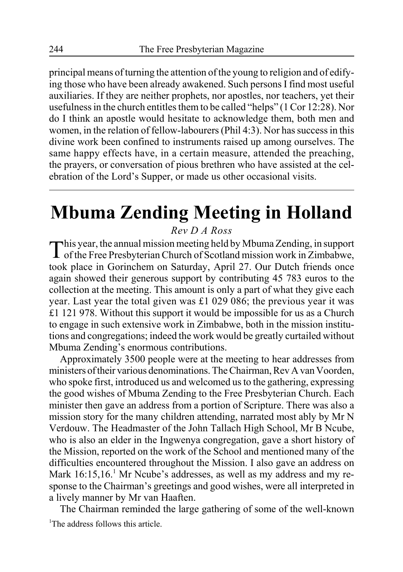principal means of turning the attention of the young to religion and of edifying those who have been already awakened. Such persons I find most useful auxiliaries. If they are neither prophets, nor apostles, nor teachers, yet their usefulness in the church entitles them to be called "helps" (1 Cor 12:28). Nor do I think an apostle would hesitate to acknowledge them, both men and women, in the relation of fellow-labourers (Phil 4:3). Nor has success in this divine work been confined to instruments raised up among ourselves. The same happy effects have, in a certain measure, attended the preaching, the prayers, or conversation of pious brethren who have assisted at the celebration of the Lord's Supper, or made us other occasional visits.

# **Mbuma Zending Meeting in Holland**

*Rev D A Ross*

This year, the annual mission meeting held by Mbuma Zending, in support of the Free Presbyterian Church of Scotland mission work in Zimbabwe, took place in Gorinchem on Saturday, April 27. Our Dutch friends once again showed their generous support by contributing 45 783 euros to the collection at the meeting. This amount is only a part of what they give each year. Last year the total given was £1 029 086; the previous year it was £1 121 978. Without this support it would be impossible for us as a Church to engage in such extensive work in Zimbabwe, both in the mission institutions and congregations; indeed the work would be greatly curtailed without Mbuma Zending's enormous contributions.

Approximately 3500 people were at the meeting to hear addresses from ministers of their various denominations. The Chairman, Rev A van Voorden, who spoke first, introduced us and welcomed us to the gathering, expressing the good wishes of Mbuma Zending to the Free Presbyterian Church. Each minister then gave an address from a portion of Scripture. There was also a mission story for the many children attending, narrated most ably by Mr N Verdouw. The Headmaster of the John Tallach High School, Mr B Ncube, who is also an elder in the Ingwenya congregation, gave a short history of the Mission, reported on the work of the School and mentioned many of the difficulties encountered throughout the Mission. I also gave an address on Mark 16:15,16.<sup>1</sup> Mr Ncube's addresses, as well as my address and my response to the Chairman's greetings and good wishes, were all interpreted in a lively manner by Mr van Haaften.

The Chairman reminded the large gathering of some of the well-known <sup>1</sup>The address follows this article.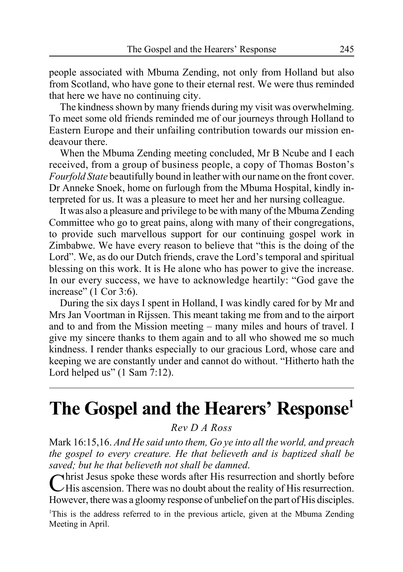people associated with Mbuma Zending, not only from Holland but also from Scotland, who have gone to their eternal rest. We were thus reminded that here we have no continuing city.

The kindness shown by many friends during my visit was overwhelming. To meet some old friends reminded me of our journeys through Holland to Eastern Europe and their unfailing contribution towards our mission endeavour there.

When the Mbuma Zending meeting concluded, Mr B Ncube and I each received, from a group of business people, a copy of Thomas Boston's *Fourfold State* beautifully bound in leather with our name on the front cover. Dr Anneke Snoek, home on furlough from the Mbuma Hospital, kindly interpreted for us. It was a pleasure to meet her and her nursing colleague.

It was also a pleasure and privilege to be with many of the Mbuma Zending Committee who go to great pains, along with many of their congregations, to provide such marvellous support for our continuing gospel work in Zimbabwe. We have every reason to believe that "this is the doing of the Lord". We, as do our Dutch friends, crave the Lord's temporal and spiritual blessing on this work. It is He alone who has power to give the increase. In our every success, we have to acknowledge heartily: "God gave the increase" (1 Cor 3:6).

During the six days I spent in Holland, I was kindly cared for by Mr and Mrs Jan Voortman in Rijssen. This meant taking me from and to the airport and to and from the Mission meeting – many miles and hours of travel. I give my sincere thanks to them again and to all who showed me so much kindness. I render thanks especially to our gracious Lord, whose care and keeping we are constantly under and cannot do without. "Hitherto hath the Lord helped us" (1 Sam 7:12).

**The Gospel and the Hearers' Response1**

*Rev D A Ross*

Mark 16:15,16. *And He said unto them, Go ye into all the world, and preach the gospel to every creature. He that believeth and is baptized shall be saved; but he that believeth not shall be damned*.

Christ Jesus spoke these words after His resurrection and shortly before  $\mathcal{L}$ His ascension. There was no doubt about the reality of His resurrection. However, there was a gloomy response of unbelief on the part of His disciples.

<sup>1</sup>This is the address referred to in the previous article, given at the Mbuma Zending Meeting in April.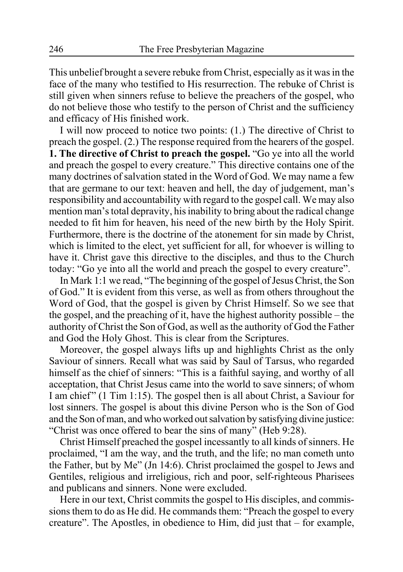This unbelief brought a severe rebuke from Christ, especially as it was in the face of the many who testified to His resurrection. The rebuke of Christ is still given when sinners refuse to believe the preachers of the gospel, who do not believe those who testify to the person of Christ and the sufficiency and efficacy of His finished work.

I will now proceed to notice two points: (1.) The directive of Christ to preach the gospel. (2.) The response required from the hearers of the gospel. **1. The directive of Christ to preach the gospel.** "Go ye into all the world and preach the gospel to every creature." This directive contains one of the many doctrines of salvation stated in the Word of God. We may name a few that are germane to our text: heaven and hell, the day of judgement, man's responsibility and accountability with regard to the gospel call. We may also mention man's total depravity, his inability to bring about the radical change needed to fit him for heaven, his need of the new birth by the Holy Spirit. Furthermore, there is the doctrine of the atonement for sin made by Christ, which is limited to the elect, yet sufficient for all, for whoever is willing to have it. Christ gave this directive to the disciples, and thus to the Church today: "Go ye into all the world and preach the gospel to every creature".

In Mark 1:1 we read, "The beginning of the gospel of Jesus Christ, the Son of God." It is evident from this verse, as well as from others throughout the Word of God, that the gospel is given by Christ Himself. So we see that the gospel, and the preaching of it, have the highest authority possible – the authority of Christ the Son of God, as well as the authority of God the Father and God the Holy Ghost. This is clear from the Scriptures.

Moreover, the gospel always lifts up and highlights Christ as the only Saviour of sinners. Recall what was said by Saul of Tarsus, who regarded himself as the chief of sinners: "This is a faithful saying, and worthy of all acceptation, that Christ Jesus came into the world to save sinners; of whom I am chief" (1 Tim 1:15). The gospel then is all about Christ, a Saviour for lost sinners. The gospel is about this divine Person who is the Son of God and the Son of man, and who worked out salvation by satisfying divine justice: "Christ was once offered to bear the sins of many" (Heb 9:28).

Christ Himself preached the gospel incessantly to all kinds of sinners. He proclaimed, "I am the way, and the truth, and the life; no man cometh unto the Father, but by Me" (Jn 14:6). Christ proclaimed the gospel to Jews and Gentiles, religious and irreligious, rich and poor, self-righteous Pharisees and publicans and sinners. None were excluded.

Here in our text, Christ commits the gospel to His disciples, and commissions them to do as He did. He commands them: "Preach the gospel to every creature". The Apostles, in obedience to Him, did just that – for example,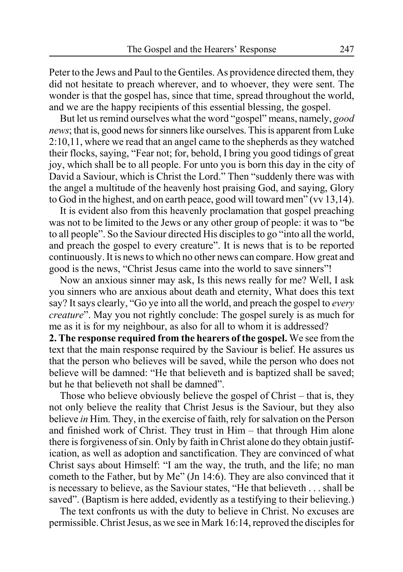Peter to the Jews and Paul to the Gentiles. As providence directed them, they did not hesitate to preach wherever, and to whoever, they were sent. The wonder is that the gospel has, since that time, spread throughout the world, and we are the happy recipients of this essential blessing, the gospel.

But let us remind ourselves what the word "gospel" means, namely, *good news*; that is, good news for sinners like ourselves. This is apparent from Luke 2:10,11, where we read that an angel came to the shepherds as they watched their flocks, saying, "Fear not; for, behold, I bring you good tidings of great joy, which shall be to all people. For unto you is born this day in the city of David a Saviour, which is Christ the Lord." Then "suddenly there was with the angel a multitude of the heavenly host praising God, and saying, Glory to God in the highest, and on earth peace, good will toward men" (vv 13,14).

It is evident also from this heavenly proclamation that gospel preaching was not to be limited to the Jews or any other group of people: it was to "be to all people". So the Saviour directed His disciples to go "into all the world, and preach the gospel to every creature". It is news that is to be reported continuously. It is news to which no other news can compare. How great and good is the news, "Christ Jesus came into the world to save sinners"!

Now an anxious sinner may ask, Is this news really for me? Well, I ask you sinners who are anxious about death and eternity, What does this text say? It says clearly, "Go ye into all the world, and preach the gospel to *every creature*". May you not rightly conclude: The gospel surely is as much for me as it is for my neighbour, as also for all to whom it is addressed?

**2. The response required from the hearers of the gospel.** We see from the text that the main response required by the Saviour is belief. He assures us that the person who believes will be saved, while the person who does not believe will be damned: "He that believeth and is baptized shall be saved; but he that believeth not shall be damned".

Those who believe obviously believe the gospel of Christ – that is, they not only believe the reality that Christ Jesus is the Saviour, but they also believe *in* Him. They, in the exercise of faith, rely for salvation on the Person and finished work of Christ. They trust in Him – that through Him alone there is forgiveness of sin. Only by faith in Christ alone do they obtain justification, as well as adoption and sanctification. They are convinced of what Christ says about Himself: "I am the way, the truth, and the life; no man cometh to the Father, but by Me" (Jn 14:6). They are also convinced that it is necessary to believe, as the Saviour states, "He that believeth . . . shall be saved". (Baptism is here added, evidently as a testifying to their believing.)

The text confronts us with the duty to believe in Christ. No excuses are permissible. Christ Jesus, as we see in Mark 16:14, reproved the disciples for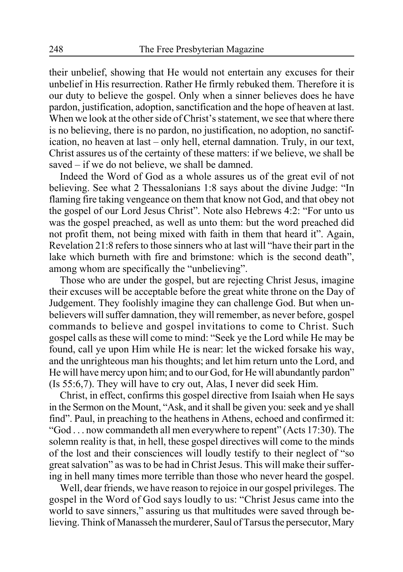their unbelief, showing that He would not entertain any excuses for their unbelief in His resurrection. Rather He firmly rebuked them. Therefore it is our duty to believe the gospel. Only when a sinner believes does he have pardon, justification, adoption, sanctification and the hope of heaven at last. When we look at the other side of Christ's statement, we see that where there is no believing, there is no pardon, no justification, no adoption, no sanctification, no heaven at last – only hell, eternal damnation. Truly, in our text, Christ assures us of the certainty of these matters: if we believe, we shall be saved – if we do not believe, we shall be damned.

Indeed the Word of God as a whole assures us of the great evil of not believing. See what 2 Thessalonians 1:8 says about the divine Judge: "In flaming fire taking vengeance on them that know not God, and that obey not the gospel of our Lord Jesus Christ". Note also Hebrews 4:2: "For unto us was the gospel preached, as well as unto them: but the word preached did not profit them, not being mixed with faith in them that heard it". Again, Revelation 21:8 refers to those sinners who at last will "have their part in the lake which burneth with fire and brimstone: which is the second death", among whom are specifically the "unbelieving".

Those who are under the gospel, but are rejecting Christ Jesus, imagine their excuses will be acceptable before the great white throne on the Day of Judgement. They foolishly imagine they can challenge God. But when unbelievers will suffer damnation, they will remember, as never before, gospel commands to believe and gospel invitations to come to Christ. Such gospel calls as these will come to mind: "Seek ye the Lord while He may be found, call ye upon Him while He is near: let the wicked forsake his way, and the unrighteous man his thoughts; and let him return unto the Lord, and He will have mercy upon him; and to our God, for He will abundantly pardon" (Is 55:6,7). They will have to cry out, Alas, I never did seek Him.

Christ, in effect, confirms this gospel directive from Isaiah when He says in the Sermon on the Mount, "Ask, and it shall be given you: seek and ye shall find". Paul, in preaching to the heathens in Athens, echoed and confirmed it: "God . . . now commandeth all men everywhere to repent" (Acts 17:30). The solemn reality is that, in hell, these gospel directives will come to the minds of the lost and their consciences will loudly testify to their neglect of "so great salvation" as was to be had in Christ Jesus. This will make their suffering in hell many times more terrible than those who never heard the gospel.

Well, dear friends, we have reason to rejoice in our gospel privileges. The gospel in the Word of God says loudly to us: "Christ Jesus came into the world to save sinners," assuring us that multitudes were saved through believing. Think of Manasseh the murderer, Saul of Tarsus the persecutor, Mary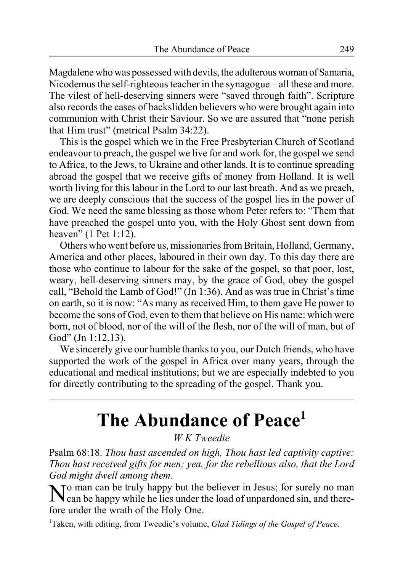Magdalene who was possessed with devils, the adulterous woman of Samaria, Nicodemus the self-righteous teacher in the synagogue – all these and more. The vilest of hell-deserving sinners were "saved through faith". Scripture also records the cases of backslidden believers who were brought again into communion with Christ their Saviour. So we are assured that "none perish that Him trust" (metrical Psalm 34:22).

This is the gospel which we in the Free Presbyterian Church of Scotland endeavour to preach, the gospel we live for and work for, the gospel we send to Africa, to the Jews, to Ukraine and other lands. It is to continue spreading abroad the gospel that we receive gifts of money from Holland. It is well worth living for this labour in the Lord to our last breath. And as we preach, we are deeply conscious that the success of the gospel lies in the power of God. We need the same blessing as those whom Peter refers to: "Them that have preached the gospel unto you, with the Holy Ghost sent down from heaven" (1 Pet 1:12).

Others who went before us, missionaries from Britain, Holland, Germany, America and other places, laboured in their own day. To this day there are those who continue to labour for the sake of the gospel, so that poor, lost, weary, hell-deserving sinners may, by the grace of God, obey the gospel call, "Behold the Lamb of God!" (Jn 1:36). And as was true in Christ's time on earth, so it is now: "As many as received Him, to them gave He power to become the sons of God, even to them that believe on His name: which were born, not of blood, nor of the will of the flesh, nor of the will of man, but of God" (Jn 1:12,13).

We sincerely give our humble thanks to you, our Dutch friends, who have supported the work of the gospel in Africa over many years, through the educational and medical institutions; but we are especially indebted to you for directly contributing to the spreading of the gospel. Thank you.

# **The Abundance of Peace1**

*W K Tweedie*

Psalm 68:18. *Thou hast ascended on high, Thou hast led captivity captive: Thou hast received gifts for men; yea, for the rebellious also, that the Lord God might dwell among them*.

No man can be truly happy but the believer in Jesus; for surely no man can be happy while he lies under the load of unpardoned sin, and therefore under the wrath of the Holy One.

1 Taken, with editing, from Tweedie's volume, *Glad Tidings of the Gospel of Peace*.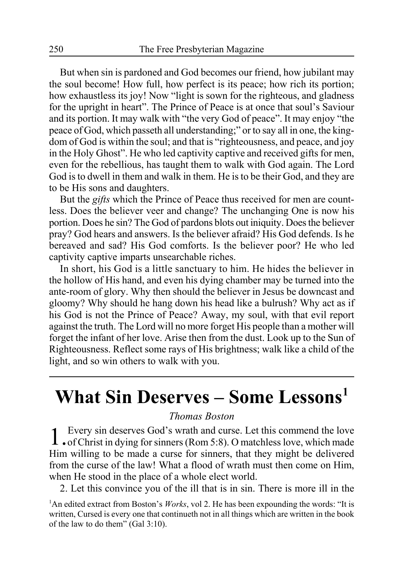But when sin is pardoned and God becomes our friend, how jubilant may the soul become! How full, how perfect is its peace; how rich its portion; how exhaustless its joy! Now "light is sown for the righteous, and gladness for the upright in heart". The Prince of Peace is at once that soul's Saviour and its portion. It may walk with "the very God of peace". It may enjoy "the peace of God, which passeth all understanding;" or to say all in one, the kingdom of God is within the soul; and that is "righteousness, and peace, and joy in the Holy Ghost". He who led captivity captive and received gifts for men, even for the rebellious, has taught them to walk with God again. The Lord God is to dwell in them and walk in them. He is to be their God, and they are to be His sons and daughters.

But the *gifts* which the Prince of Peace thus received for men are countless. Does the believer veer and change? The unchanging One is now his portion. Does he sin? The God of pardons blots out iniquity. Does the believer pray? God hears and answers. Is the believer afraid? His God defends. Is he bereaved and sad? His God comforts. Is the believer poor? He who led captivity captive imparts unsearchable riches.

In short, his God is a little sanctuary to him. He hides the believer in the hollow of His hand, and even his dying chamber may be turned into the ante-room of glory. Why then should the believer in Jesus be downcast and gloomy? Why should he hang down his head like a bulrush? Why act as if his God is not the Prince of Peace? Away, my soul, with that evil report against the truth. The Lord will no more forget His people than a mother will forget the infant of her love. Arise then from the dust. Look up to the Sun of Righteousness. Reflect some rays of His brightness; walk like a child of the light, and so win others to walk with you.

# **What Sin Deserves – Some Lessons1**

#### *Thomas Boston*

1. Every sin deserves God's wrath and curse. Let this commend the love . The forest sinners (Rom 5:8). O matchless love, which made Him willing to be made a curse for sinners, that they might be delivered from the curse of the law! What a flood of wrath must then come on Him, when He stood in the place of a whole elect world.

2. Let this convince you of the ill that is in sin. There is more ill in the

<sup>&</sup>lt;sup>1</sup>An edited extract from Boston's *Works*, vol 2. He has been expounding the words: "It is written, Cursed is every one that continueth not in all things which are written in the book of the law to do them" (Gal 3:10).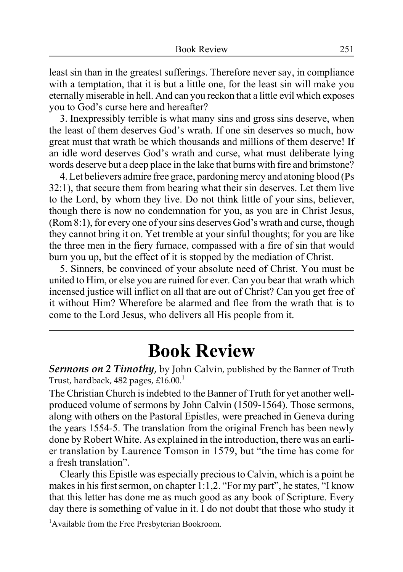least sin than in the greatest sufferings. Therefore never say, in compliance with a temptation, that it is but a little one, for the least sin will make you eternally miserable in hell. And can you reckon that a little evil which exposes you to God's curse here and hereafter?

3. Inexpressibly terrible is what many sins and gross sins deserve, when the least of them deserves God's wrath. If one sin deserves so much, how great must that wrath be which thousands and millions of them deserve! If an idle word deserves God's wrath and curse, what must deliberate lying words deserve but a deep place in the lake that burns with fire and brimstone?

4. Let believers admire free grace, pardoning mercy and atoning blood (Ps 32:1), that secure them from bearing what their sin deserves. Let them live to the Lord, by whom they live. Do not think little of your sins, believer, though there is now no condemnation for you, as you are in Christ Jesus, (Rom 8:1), for every one of your sins deserves God's wrath and curse, though they cannot bring it on. Yet tremble at your sinful thoughts; for you are like the three men in the fiery furnace, compassed with a fire of sin that would burn you up, but the effect of it is stopped by the mediation of Christ.

5. Sinners, be convinced of your absolute need of Christ. You must be united to Him, or else you are ruined for ever. Can you bear that wrath which incensed justice will inflict on all that are out of Christ? Can you get free of it without Him? Wherefore be alarmed and flee from the wrath that is to come to the Lord Jesus, who delivers all His people from it.

### **Book Review**

*Sermons on 2 Timothy*, by John Calvin, published by the Banner of Truth Trust, hardback, 482 pages,  $£16.00<sup>1</sup>$ 

The Christian Church is indebted to the Banner of Truth for yet another wellproduced volume of sermons by John Calvin (1509-1564). Those sermons, along with others on the Pastoral Epistles, were preached in Geneva during the years 1554-5. The translation from the original French has been newly done by Robert White. As explained in the introduction, there was an earlier translation by Laurence Tomson in 1579, but "the time has come for a fresh translation".

Clearly this Epistle was especially precious to Calvin, which is a point he makes in his first sermon, on chapter 1:1,2. "For my part", he states, "I know that this letter has done me as much good as any book of Scripture. Every day there is something of value in it. I do not doubt that those who study it

<sup>1</sup>Available from the Free Presbyterian Bookroom.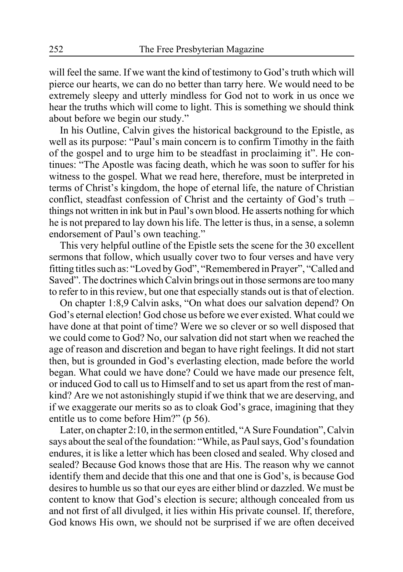will feel the same. If we want the kind of testimony to God's truth which will pierce our hearts, we can do no better than tarry here. We would need to be extremely sleepy and utterly mindless for God not to work in us once we hear the truths which will come to light. This is something we should think about before we begin our study."

In his Outline, Calvin gives the historical background to the Epistle, as well as its purpose: "Paul's main concern is to confirm Timothy in the faith of the gospel and to urge him to be steadfast in proclaiming it". He continues: "The Apostle was facing death, which he was soon to suffer for his witness to the gospel. What we read here, therefore, must be interpreted in terms of Christ's kingdom, the hope of eternal life, the nature of Christian conflict, steadfast confession of Christ and the certainty of God's truth – things not written in ink but in Paul's own blood. He asserts nothing for which he is not prepared to lay down his life. The letter is thus, in a sense, a solemn endorsement of Paul's own teaching."

This very helpful outline of the Epistle sets the scene for the 30 excellent sermons that follow, which usually cover two to four verses and have very fitting titles such as: "Loved by God", "Remembered in Prayer", "Called and Saved". The doctrines which Calvin brings out in those sermons are too many to refer to in this review, but one that especially stands out is that of election.

On chapter 1:8,9 Calvin asks, "On what does our salvation depend? On God's eternal election! God chose us before we ever existed. What could we have done at that point of time? Were we so clever or so well disposed that we could come to God? No, our salvation did not start when we reached the age of reason and discretion and began to have right feelings. It did not start then, but is grounded in God's everlasting election, made before the world began. What could we have done? Could we have made our presence felt, or induced God to call us to Himself and to set us apart from the rest of mankind? Are we not astonishingly stupid if we think that we are deserving, and if we exaggerate our merits so as to cloak God's grace, imagining that they entitle us to come before Him?" (p 56).

Later, on chapter 2:10, in the sermon entitled, "A Sure Foundation", Calvin says about the seal of the foundation: "While, as Paul says, God's foundation endures, it is like a letter which has been closed and sealed. Why closed and sealed? Because God knows those that are His. The reason why we cannot identify them and decide that this one and that one is God's, is because God desires to humble us so that our eyes are either blind or dazzled. We must be content to know that God's election is secure; although concealed from us and not first of all divulged, it lies within His private counsel. If, therefore, God knows His own, we should not be surprised if we are often deceived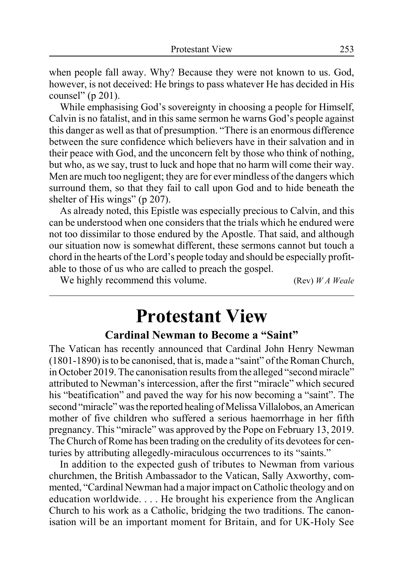when people fall away. Why? Because they were not known to us. God, however, is not deceived: He brings to pass whatever He has decided in His counsel" (p 201).

While emphasising God's sovereignty in choosing a people for Himself, Calvin is no fatalist, and in this same sermon he warns God's people against this danger as well as that of presumption. "There is an enormous difference between the sure confidence which believers have in their salvation and in their peace with God, and the unconcern felt by those who think of nothing, but who, as we say, trust to luck and hope that no harm will come their way. Men are much too negligent; they are for ever mindless of the dangers which surround them, so that they fail to call upon God and to hide beneath the shelter of His wings" (p 207).

As already noted, this Epistle was especially precious to Calvin, and this can be understood when one considers that the trials which he endured were not too dissimilar to those endured by the Apostle. That said, and although our situation now is somewhat different, these sermons cannot but touch a chord in the hearts of the Lord's people today and should be especially profitable to those of us who are called to preach the gospel.

We highly recommend this volume. (Rev) *W A Weale*

# **Protestant View**

### **Cardinal Newman to Become a "Saint"**

The Vatican has recently announced that Cardinal John Henry Newman (1801-1890) is to be canonised, that is, made a "saint" of the Roman Church, in October 2019. The canonisation results from the alleged "second miracle" attributed to Newman's intercession, after the first "miracle" which secured his "beatification" and paved the way for his now becoming a "saint". The second "miracle" was the reported healing of Melissa Villalobos, an American mother of five children who suffered a serious haemorrhage in her fifth pregnancy. This "miracle" was approved by the Pope on February 13, 2019. The Church of Rome has been trading on the credulity of its devotees for centuries by attributing allegedly-miraculous occurrences to its "saints."

In addition to the expected gush of tributes to Newman from various churchmen, the British Ambassador to the Vatican, Sally Axworthy, commented, "Cardinal Newman had a major impact on Catholic theology and on education worldwide. . . . He brought his experience from the Anglican Church to his work as a Catholic, bridging the two traditions. The canonisation will be an important moment for Britain, and for UK-Holy See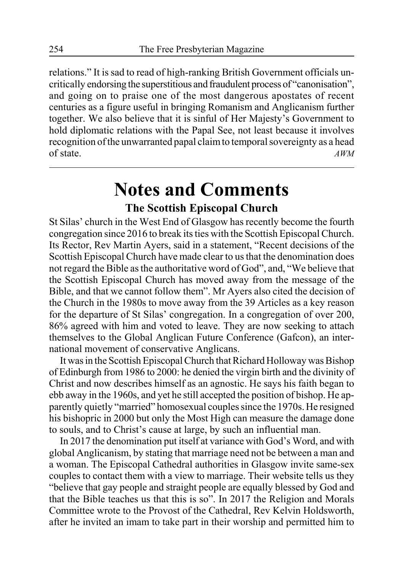relations." It is sad to read of high-ranking British Government officials uncritically endorsing the superstitious and fraudulent process of "canonisation", and going on to praise one of the most dangerous apostates of recent centuries as a figure useful in bringing Romanism and Anglicanism further together. We also believe that it is sinful of Her Majesty's Government to hold diplomatic relations with the Papal See, not least because it involves recognition of the unwarranted papal claim to temporal sovereignty as a head of state. *AWM*

## **Notes and Comments**

### **The Scottish Episcopal Church**

St Silas' church in the West End of Glasgow has recently become the fourth congregation since 2016 to break its ties with the Scottish Episcopal Church. Its Rector, Rev Martin Ayers, said in a statement, "Recent decisions of the Scottish Episcopal Church have made clear to us that the denomination does not regard the Bible as the authoritative word of God", and, "We believe that the Scottish Episcopal Church has moved away from the message of the Bible, and that we cannot follow them". Mr Ayers also cited the decision of the Church in the 1980s to move away from the 39 Articles as a key reason for the departure of St Silas' congregation. In a congregation of over 200, 86% agreed with him and voted to leave. They are now seeking to attach themselves to the Global Anglican Future Conference (Gafcon), an international movement of conservative Anglicans.

It was in the Scottish Episcopal Church that Richard Holloway was Bishop of Edinburgh from 1986 to 2000: he denied the virgin birth and the divinity of Christ and now describes himself as an agnostic. He says his faith began to ebb away in the 1960s, and yet he still accepted the position of bishop. He apparently quietly "married" homosexual couples since the 1970s. He resigned his bishopric in 2000 but only the Most High can measure the damage done to souls, and to Christ's cause at large, by such an influential man.

In 2017 the denomination put itself at variance with God's Word, and with global Anglicanism, by stating that marriage need not be between a man and a woman. The Episcopal Cathedral authorities in Glasgow invite same-sex couples to contact them with a view to marriage. Their website tells us they "believe that gay people and straight people are equally blessed by God and that the Bible teaches us that this is so". In 2017 the Religion and Morals Committee wrote to the Provost of the Cathedral, Rev Kelvin Holdsworth, after he invited an imam to take part in their worship and permitted him to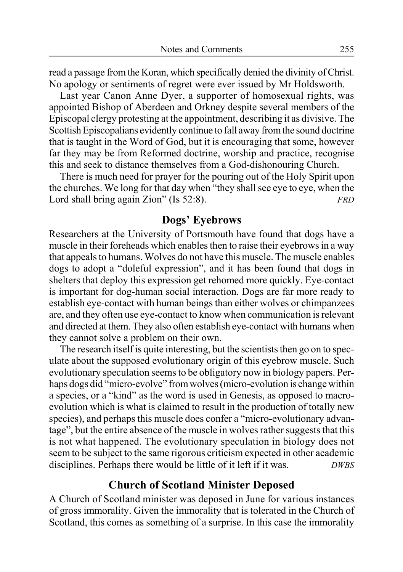read a passage from the Koran, which specifically denied the divinity of Christ. No apology or sentiments of regret were ever issued by Mr Holdsworth.

Last year Canon Anne Dyer, a supporter of homosexual rights, was appointed Bishop of Aberdeen and Orkney despite several members of the Episcopal clergy protesting at the appointment, describing it as divisive. The Scottish Episcopalians evidently continue to fall away from the sound doctrine that is taught in the Word of God, but it is encouraging that some, however far they may be from Reformed doctrine, worship and practice, recognise this and seek to distance themselves from a God-dishonouring Church.

There is much need for prayer for the pouring out of the Holy Spirit upon the churches. We long for that day when "they shall see eye to eye, when the Lord shall bring again Zion" (Is 52:8). *FRD*

#### **Dogs' Eyebrows**

Researchers at the University of Portsmouth have found that dogs have a muscle in their foreheads which enables then to raise their eyebrows in a way that appeals to humans. Wolves do not have this muscle. The muscle enables dogs to adopt a "doleful expression", and it has been found that dogs in shelters that deploy this expression get rehomed more quickly. Eye-contact is important for dog-human social interaction. Dogs are far more ready to establish eye-contact with human beings than either wolves or chimpanzees are, and they often use eye-contact to know when communication is relevant and directed at them. They also often establish eye-contact with humans when they cannot solve a problem on their own.

The research itself is quite interesting, but the scientists then go on to speculate about the supposed evolutionary origin of this eyebrow muscle. Such evolutionary speculation seems to be obligatory now in biology papers. Perhaps dogs did "micro-evolve" from wolves (micro-evolution is change within a species, or a "kind" as the word is used in Genesis, as opposed to macroevolution which is what is claimed to result in the production of totally new species), and perhaps this muscle does confer a "micro-evolutionary advantage", but the entire absence of the muscle in wolves rather suggests that this is not what happened. The evolutionary speculation in biology does not seem to be subject to the same rigorous criticism expected in other academic disciplines. Perhaps there would be little of it left if it was. *DWBS*

### **Church of Scotland Minister Deposed**

A Church of Scotland minister was deposed in June for various instances of gross immorality. Given the immorality that is tolerated in the Church of Scotland, this comes as something of a surprise. In this case the immorality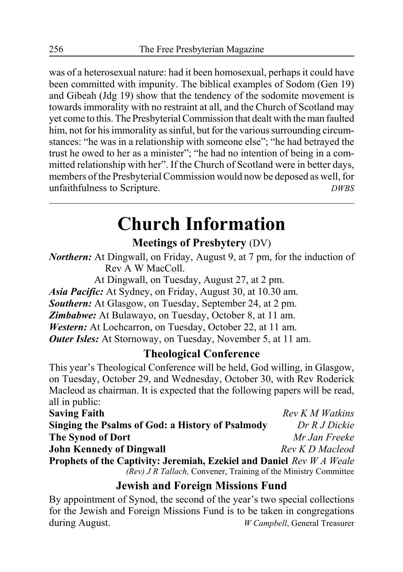was of a heterosexual nature: had it been homosexual, perhaps it could have been committed with impunity. The biblical examples of Sodom (Gen 19) and Gibeah (Jdg 19) show that the tendency of the sodomite movement is towards immorality with no restraint at all, and the Church of Scotland may yet come to this. The Presbyterial Commission that dealt with the man faulted him, not for his immorality as sinful, but for the various surrounding circumstances: "he was in a relationship with someone else"; "he had betrayed the trust he owed to her as a minister"; "he had no intention of being in a committed relationship with her". If the Church of Scotland were in better days, members of the Presbyterial Commission would now be deposed as well, for unfaithfulness to Scripture. *DWBS*

# **Church Information**

**Meetings of Presbytery** (DV)

*Northern:* At Dingwall, on Friday, August 9, at 7 pm, for the induction of Rev A W MacColl.

At Dingwall, on Tuesday, August 27, at 2 pm.

*Asia Pacific:* At Sydney, on Friday, August 30, at 10.30 am.

*Southern:* At Glasgow, on Tuesday, September 24, at 2 pm.

*Zimbabwe:* At Bulawayo, on Tuesday, October 8, at 11 am.

*Western:* At Lochcarron, on Tuesday, October 22, at 11 am.

*Outer Isles:* At Stornoway, on Tuesday, November 5, at 11 am.

### **Theological Conference**

This year's Theological Conference will be held, God willing, in Glasgow, on Tuesday, October 29, and Wednesday, October 30, with Rev Roderick Macleod as chairman. It is expected that the following papers will be read, all in public:

| <b>Saving Faith</b>                                                          | Rev K M Watkins |  |
|------------------------------------------------------------------------------|-----------------|--|
| Singing the Psalms of God: a History of Psalmody                             | Dr R J Dickie   |  |
| <b>The Synod of Dort</b>                                                     | Mr Jan Freeke   |  |
| <b>John Kennedy of Dingwall</b>                                              | Rev K D Macleod |  |
| <b>Prophets of the Captivity: Jeremiah, Ezekiel and Daniel Rev W A Weale</b> |                 |  |
| (Rev) J R Tallach, Convener, Training of the Ministry Committee              |                 |  |

### **Jewish and Foreign Missions Fund**

By appointment of Synod, the second of the year's two special collections for the Jewish and Foreign Missions Fund is to be taken in congregations during August. *W Campbell*, General Treasurer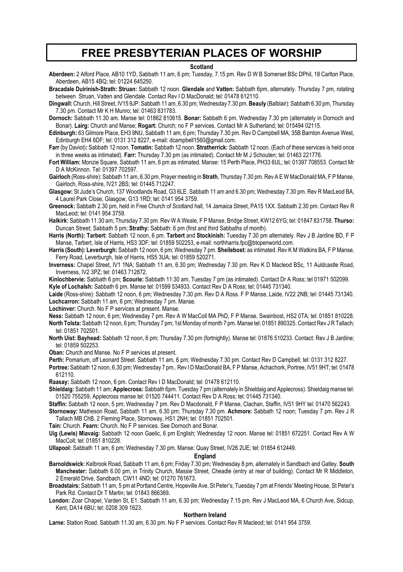### **FREE PRESBYTERIAN PLACES OF WORSHIP**

#### **Scotland**

**Aberdeen:** 2 Alford Place, AB10 1YD, Sabbath 11 am, 6 pm; Tuesday, 7.15 pm. Rev D W B Somerset BSc DPhil, 18 Carlton Place, Aberdeen, AB15 4BQ; tel: 01224 645250.

**Bracadale Duirinish-Strath: Struan:** Sabbath 12 noon. **Glendale** and **Vatten:** Sabbath 6pm, alternately. Thursday 7 pm, rotating between Struan, Vatten and Glendale. Contact Rev I D MacDonald; tel: 01478 612110.

**Dingwall:** Church, Hill Street, IV15 9JP: Sabbath 11 am, 6.30 pm; Wednesday 7.30 pm. **Beauly** (Balblair): Sabbath 6.30 pm, Thursday 7.30 pm. Contact Mr K H Munro; tel: 01463 831783.

**Dornoch:** Sabbath 11.30 am. Manse tel: 01862 810615. **Bonar:** Sabbath 6 pm. Wednesday 7.30 pm (alternately in Dornoch and Bonar). **Lairg:** Church and Manse; **Rogart:** Church; no F P services. Contact Mr A Sutherland; tel: 015494 02115.

**Edinburgh:** 63 Gilmore Place, EH3 9NU, Sabbath 11 am, 6 pm; Thursday 7.30 pm. Rev D Campbell MA, 35B Barnton Avenue West, Edinburgh EH4 6DF; tel: 0131 312 8227, e-mail: dcampbell1560@gmail.com.

- **Farr** (by Daviot)**:** Sabbath 12 noon. **Tomatin:** Sabbath 12 noon. **Stratherrick:** Sabbath 12 noon. (Each of these services is held once in three weeks as intimated). **Farr:** Thursday 7.30 pm (as intimated). Contact Mr M J Schouten; tel: 01463 221776.
- **Fort William:** Monzie Square, Sabbath 11 am, 6 pm as intimated. Manse: 15 Perth Place, PH33 6UL; tel: 01397 708553. Contact Mr D A McKinnon. Tel: 01397 702597.

**Gairloch** (Ross-shire): Sabbath 11 am, 6.30 pm. Prayer meeting in **Strath**, Thursday 7.30 pm. Rev A E W MacDonald MA, F P Manse, Gairloch, Ross-shire, IV21 2BS; tel: 01445 712247.

**Glasgow:** St Jude's Church, 137 Woodlands Road, G3 6LE. Sabbath 11 am and 6.30 pm; Wednesday 7.30 pm. Rev R MacLeod BA, 4 Laurel Park Close, Glasgow, G13 1RD; tel: 0141 954 3759.

- **Greenock:** Sabbath 2.30 pm, held in Free Church of Scotland hall, 14 Jamaica Street, PA15 1XX. Sabbath 2.30 pm. Contact Rev R MacLeod; tel: 0141 954 3759.
- **Halkirk:** Sabbath 11.30 am; Thursday 7.30 pm. Rev W A Weale, F P Manse, Bridge Street, KW12 6YG; tel: 01847 831758. **Thurso:** Duncan Street; Sabbath 5 pm; **Strathy:** Sabbath: 6 pm (first and third Sabbaths of month).
- **Harris (North): Tarbert:** Sabbath 12 noon, 6 pm. **Tarbert** and **Stockinish:** Tuesday 7.30 pm alternately. Rev J B Jardine BD, F P Manse, Tarbert, Isle of Harris, HS3 3DF; tel: 01859 502253, e-mail: northharris.fpc@btopenworld.com.
- **Harris (South): Leverburgh:** Sabbath 12 noon, 6 pm; Wednesday 7 pm. **Sheilebost:** as intimated. Rev K M Watkins BA, F P Manse, Ferry Road, Leverburgh, Isle of Harris, HS5 3UA; tel: 01859 520271.
- **Inverness:** Chapel Street, IV1 1NA; Sabbath 11 am, 6.30 pm; Wednesday 7.30 pm. Rev K D Macleod BSc, 11 Auldcastle Road, Inverness, IV2 3PZ; tel: 01463 712872.

**Kinlochbervie:** Sabbath 6 pm; **Scourie:** Sabbath 11:30 am, Tuesday 7 pm (as intimated). Contact Dr A Ross; tel 01971 502099.

**Kyle of Lochalsh:** Sabbath 6 pm. Manse tel: 01599 534933. Contact Rev D A Ross; tel: 01445 731340.

**Laide** (Ross-shire): Sabbath 12 noon, 6 pm; Wednesday 7.30 pm. Rev D A Ross. F P Manse, Laide, IV22 2NB; tel: 01445 731340. **Lochcarron:** Sabbath 11 am, 6 pm; Wednesday 7 pm. Manse.

**Lochinver:** Church. No F P services at present. Manse.

- **Ness:** Sabbath 12 noon, 6 pm; Wednesday 7 pm. Rev A W MacColl MA PhD, F P Manse, Swainbost, HS2 0TA; tel: 01851 810228. **North Tolsta:** Sabbath 12 noon, 6 pm; Thursday 7 pm; 1st Monday of month 7 pm. Manse tel: 01851 890325. Contact Rev J R Tallach; tel: 01851 702501.
- **North Uist: Bayhead:** Sabbath 12 noon, 6 pm; Thursday 7.30 pm (fortnightly). Manse tel: 01876 510233. Contact: Rev J B Jardine; tel: 01859 502253.

**Oban:** Church and Manse. No F P services at present.

**Perth:** Pomarium, off Leonard Street. Sabbath 11 am, 6 pm; Wednesday 7.30 pm. Contact Rev D Campbell; tel: 0131 312 8227.

**Portree:** Sabbath 12 noon, 6.30 pm; Wednesday 7 pm.. Rev I D MacDonald BA, F P Manse, Achachork, Portree, IV51 9HT; tel: 01478 612110.

**Raasay:** Sabbath 12 noon, 6 pm. Contact Rev I D MacDonald; tel: 01478 612110.

**Shieldaig:** Sabbath 11 am; **Applecross:** Sabbath 6pm. Tuesday 7 pm (alternately in Shieldaig and Applecross). Shieldaig manse tel: 01520 755259, Applecross manse tel: 01520 744411. Contact Rev D A Ross; tel: 01445 731340.

**Staffin:** Sabbath 12 noon, 5 pm; Wednesday 7 pm. Rev D Macdonald, F P Manse, Clachan, Staffin, IV51 9HY tel: 01470 562243.

**Stornoway:** Matheson Road, Sabbath 11 am, 6.30 pm; Thursday 7.30 pm. **Achmore:** Sabbath 12 noon; Tuesday 7 pm. Rev J R Tallach MB ChB, 2 Fleming Place, Stornoway, HS1 2NH; tel: 01851 702501.

**Tain:** Church. **Fearn:** Church. No F P services. See Dornoch and Bonar.

**Uig (Lewis) Miavaig:** Sabbath 12 noon Gaelic, 6 pm English; Wednesday 12 noon. Manse tel: 01851 672251. Contact Rev A W MacColl; tel: 01851 810228.

**Ullapool:** Sabbath 11 am, 6 pm; Wednesday 7.30 pm. Manse: Quay Street, IV26 2UE; tel: 01854 612449.

#### **England**

**Barnoldswick:** Kelbrook Road, Sabbath 11 am, 6 pm; Friday 7.30 pm; Wednesday 8 pm, alternately in Sandbach and Gatley. **South Manchester:** Sabbath 6.00 pm, in Trinity Church, Massie Street, Cheadle (entry at rear of building). Contact Mr R Middleton, 2 Emerald Drive, Sandbach, CW11 4ND; tel: 01270 761673.

**Broadstairs:** Sabbath 11 am, 5 pm at Portland Centre, Hopeville Ave, St Peter's; Tuesday 7 pm at Friends' Meeting House, St Peter's Park Rd. Contact Dr T Martin; tel: 01843 866369**.**

**London:** Zoar Chapel, Varden St, E1. Sabbath 11 am, 6.30 pm; Wednesday 7.15 pm. Rev J MacLeod MA, 6 Church Ave, Sidcup, Kent, DA14 6BU; tel: 0208 309 1623.

#### **Northern Ireland**

**Larne:** Station Road. Sabbath 11.30 am, 6.30 pm. No F P services. Contact Rev R Macleod; tel: 0141 954 3759.